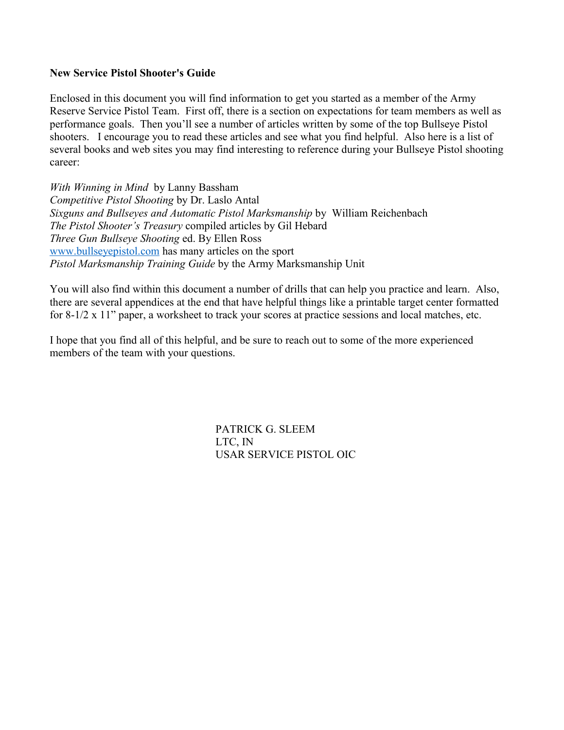#### **New Service Pistol Shooter's Guide**

Enclosed in this document you will find information to get you started as a member of the Army Reserve Service Pistol Team. First off, there is a section on expectations for team members as well as performance goals. Then you'll see a number of articles written by some of the top Bullseye Pistol shooters. I encourage you to read these articles and see what you find helpful. Also here is a list of several books and web sites you may find interesting to reference during your Bullseye Pistol shooting career:

*With Winning in Mind* by Lanny Bassham *Competitive Pistol Shooting* by Dr. Laslo Antal *Sixguns and Bullseyes and Automatic Pistol Marksmanship* by William Reichenbach *The Pistol Shooter's Treasury* compiled articles by Gil Hebard *Three Gun Bullseye Shooting* ed. By Ellen Ross [www.bullseyepistol.com](http://www.bullseyepistol.com/) has many articles on the sport *Pistol Marksmanship Training Guide* by the Army Marksmanship Unit

You will also find within this document a number of drills that can help you practice and learn. Also, there are several appendices at the end that have helpful things like a printable target center formatted for 8-1/2 x 11" paper, a worksheet to track your scores at practice sessions and local matches, etc.

I hope that you find all of this helpful, and be sure to reach out to some of the more experienced members of the team with your questions.

> PATRICK G. SLEEM LTC, IN USAR SERVICE PISTOL OIC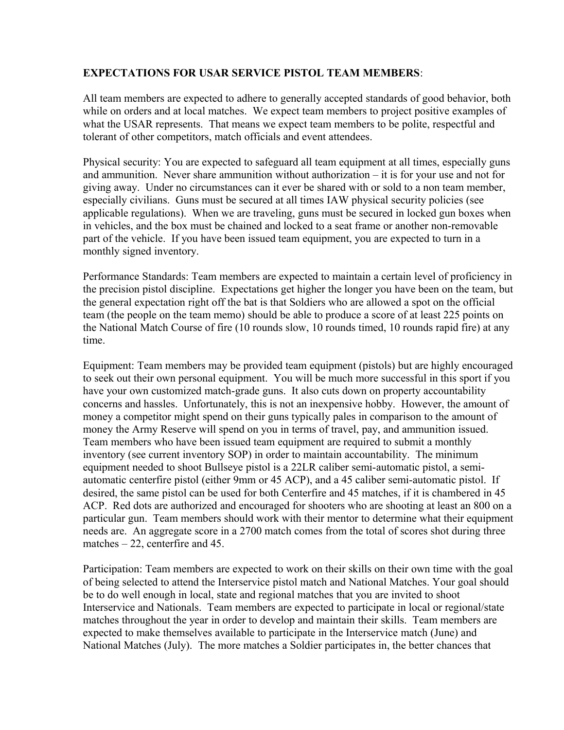### **EXPECTATIONS FOR USAR SERVICE PISTOL TEAM MEMBERS**:

All team members are expected to adhere to generally accepted standards of good behavior, both while on orders and at local matches. We expect team members to project positive examples of what the USAR represents. That means we expect team members to be polite, respectful and tolerant of other competitors, match officials and event attendees.

Physical security: You are expected to safeguard all team equipment at all times, especially guns and ammunition. Never share ammunition without authorization – it is for your use and not for giving away. Under no circumstances can it ever be shared with or sold to a non team member, especially civilians. Guns must be secured at all times IAW physical security policies (see applicable regulations). When we are traveling, guns must be secured in locked gun boxes when in vehicles, and the box must be chained and locked to a seat frame or another non-removable part of the vehicle. If you have been issued team equipment, you are expected to turn in a monthly signed inventory.

Performance Standards: Team members are expected to maintain a certain level of proficiency in the precision pistol discipline. Expectations get higher the longer you have been on the team, but the general expectation right off the bat is that Soldiers who are allowed a spot on the official team (the people on the team memo) should be able to produce a score of at least 225 points on the National Match Course of fire (10 rounds slow, 10 rounds timed, 10 rounds rapid fire) at any time.

Equipment: Team members may be provided team equipment (pistols) but are highly encouraged to seek out their own personal equipment. You will be much more successful in this sport if you have your own customized match-grade guns. It also cuts down on property accountability concerns and hassles. Unfortunately, this is not an inexpensive hobby. However, the amount of money a competitor might spend on their guns typically pales in comparison to the amount of money the Army Reserve will spend on you in terms of travel, pay, and ammunition issued. Team members who have been issued team equipment are required to submit a monthly inventory (see current inventory SOP) in order to maintain accountability. The minimum equipment needed to shoot Bullseye pistol is a 22LR caliber semi-automatic pistol, a semiautomatic centerfire pistol (either 9mm or 45 ACP), and a 45 caliber semi-automatic pistol. If desired, the same pistol can be used for both Centerfire and 45 matches, if it is chambered in 45 ACP. Red dots are authorized and encouraged for shooters who are shooting at least an 800 on a particular gun. Team members should work with their mentor to determine what their equipment needs are. An aggregate score in a 2700 match comes from the total of scores shot during three matches – 22, centerfire and 45.

Participation: Team members are expected to work on their skills on their own time with the goal of being selected to attend the Interservice pistol match and National Matches. Your goal should be to do well enough in local, state and regional matches that you are invited to shoot Interservice and Nationals. Team members are expected to participate in local or regional/state matches throughout the year in order to develop and maintain their skills. Team members are expected to make themselves available to participate in the Interservice match (June) and National Matches (July). The more matches a Soldier participates in, the better chances that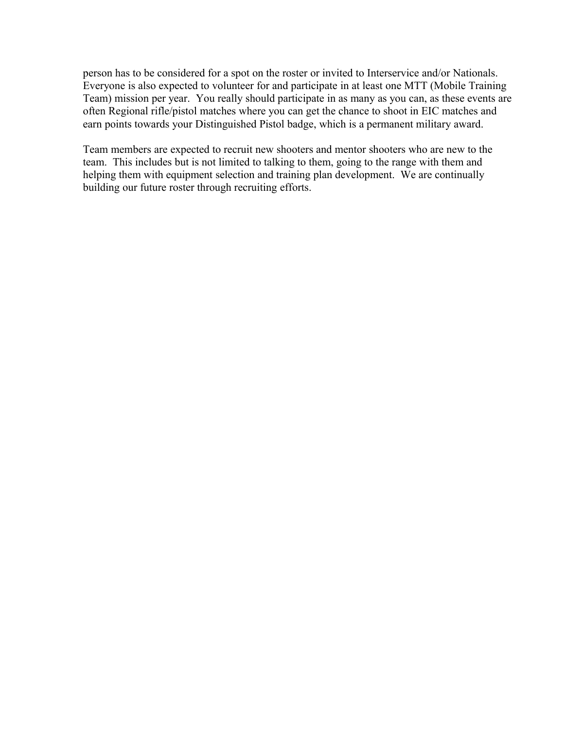person has to be considered for a spot on the roster or invited to Interservice and/or Nationals. Everyone is also expected to volunteer for and participate in at least one MTT (Mobile Training Team) mission per year. You really should participate in as many as you can, as these events are often Regional rifle/pistol matches where you can get the chance to shoot in EIC matches and earn points towards your Distinguished Pistol badge, which is a permanent military award.

Team members are expected to recruit new shooters and mentor shooters who are new to the team. This includes but is not limited to talking to them, going to the range with them and helping them with equipment selection and training plan development. We are continually building our future roster through recruiting efforts.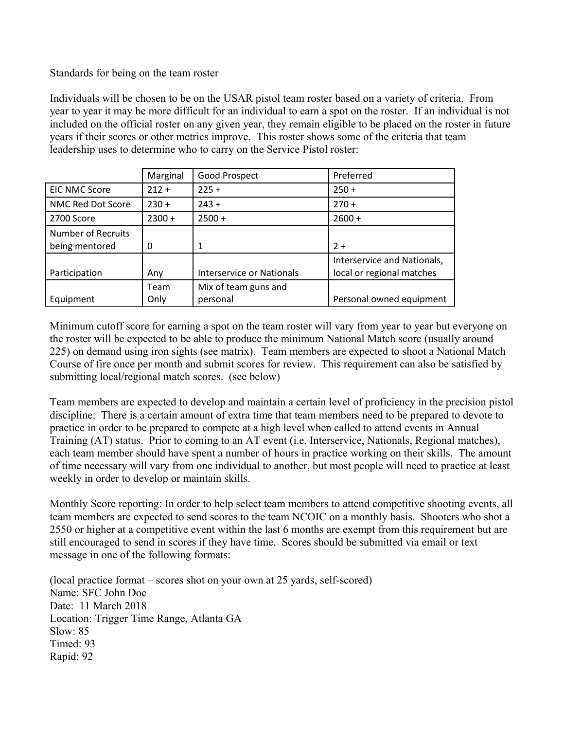Standards for being on the team roster

Individuals will be chosen to be on the USAR pistol team roster based on a variety of criteria. From year to year it may be more difficult for an individual to earn a spot on the roster. If an individual is not included on the official roster on any given year, they remain eligible to be placed on the roster in future years if their scores or other metrics improve. This roster shows some of the criteria that team leadership uses to determine who to carry on the Service Pistol roster:

|                           | Marginal | Good Prospect             | Preferred                   |
|---------------------------|----------|---------------------------|-----------------------------|
| <b>EIC NMC Score</b>      | $212 +$  | $225 +$                   | $250 +$                     |
| NMC Red Dot Score         | $230 +$  | $243 +$                   | $270 +$                     |
| 2700 Score                | $2300 +$ | $2500 +$                  | $2600 +$                    |
| <b>Number of Recruits</b> |          |                           |                             |
| being mentored            | 0        | 1                         | $2+$                        |
|                           |          |                           | Interservice and Nationals, |
| Participation             | Any      | Interservice or Nationals | local or regional matches   |
|                           | Team     | Mix of team guns and      |                             |
| Equipment                 | Only     | personal                  | Personal owned equipment    |

Minimum cutoff score for earning a spot on the team roster will vary from year to year but everyone on the roster will be expected to be able to produce the minimum National Match score (usually around 225) on demand using iron sights (see matrix). Team members are expected to shoot a National Match Course of fire once per month and submit scores for review. This requirement can also be satisfied by submitting local/regional match scores. (see below)

Team members are expected to develop and maintain a certain level of proficiency in the precision pistol discipline. There is a certain amount of extra time that team members need to be prepared to devote to practice in order to be prepared to compete at a high level when called to attend events in Annual Training (AT) status. Prior to coming to an AT event (i.e. Interservice, Nationals, Regional matches), each team member should have spent a number of hours in practice working on their skills. The amount of time necessary will vary from one individual to another, but most people will need to practice at least weekly in order to develop or maintain skills.

Monthly Score reporting: In order to help select team members to attend competitive shooting events, all team members are expected to send scores to the team NCOIC on a monthly basis. Shooters who shot a 2550 or higher at a competitive event within the last 6 months are exempt from this requirement but are still encouraged to send in scores if they have time. Scores should be submitted via email or text message in one of the following formats:

(local practice format – scores shot on your own at 25 yards, self-scored) Name: SFC John Doe Date: 11 March 2018 Location: Trigger Time Range, Atlanta GA  $Slow: 85$ Timed: 93 Rapid: 92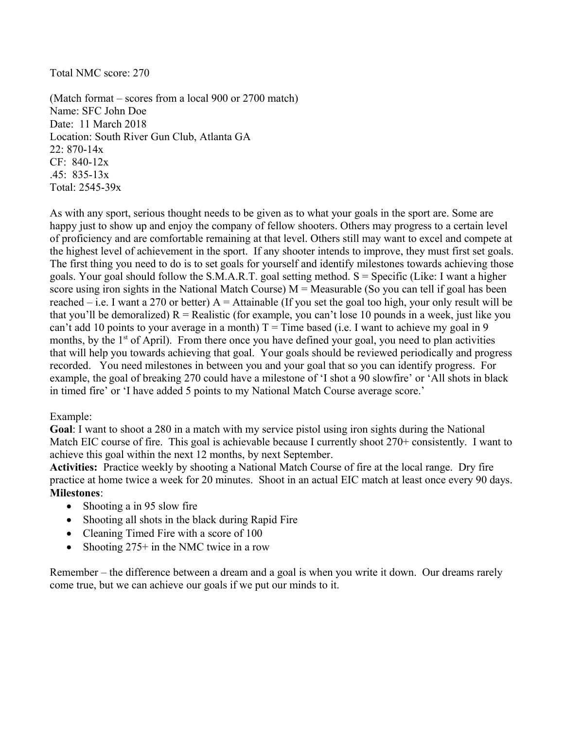### Total NMC score: 270

(Match format – scores from a local 900 or 2700 match) Name: SFC John Doe Date: 11 March 2018 Location: South River Gun Club, Atlanta GA 22: 870-14x CF: 840-12x .45: 835-13x Total: 2545-39x

As with any sport, serious thought needs to be given as to what your goals in the sport are. Some are happy just to show up and enjoy the company of fellow shooters. Others may progress to a certain level of proficiency and are comfortable remaining at that level. Others still may want to excel and compete at the highest level of achievement in the sport. If any shooter intends to improve, they must first set goals. The first thing you need to do is to set goals for yourself and identify milestones towards achieving those goals. Your goal should follow the S.M.A.R.T. goal setting method.  $S =$  Specific (Like: I want a higher score using iron sights in the National Match Course)  $M = M$ easurable (So you can tell if goal has been reached – i.e. I want a 270 or better)  $A =$  Attainable (If you set the goal too high, your only result will be that you'll be demoralized)  $R =$  Realistic (for example, you can't lose 10 pounds in a week, just like you can't add 10 points to your average in a month)  $T =$ Time based (i.e. I want to achieve my goal in 9 months, by the  $1<sup>st</sup>$  of April). From there once you have defined your goal, you need to plan activities that will help you towards achieving that goal. Your goals should be reviewed periodically and progress recorded. You need milestones in between you and your goal that so you can identify progress. For example, the goal of breaking 270 could have a milestone of 'I shot a 90 slowfire' or 'All shots in black in timed fire' or 'I have added 5 points to my National Match Course average score.'

### Example:

**Goal**: I want to shoot a 280 in a match with my service pistol using iron sights during the National Match EIC course of fire. This goal is achievable because I currently shoot 270+ consistently. I want to achieve this goal within the next 12 months, by next September.

**Activities:** Practice weekly by shooting a National Match Course of fire at the local range. Dry fire practice at home twice a week for 20 minutes. Shoot in an actual EIC match at least once every 90 days. **Milestones**:

- Shooting a in 95 slow fire
- Shooting all shots in the black during Rapid Fire
- Cleaning Timed Fire with a score of 100
- Shooting 275+ in the NMC twice in a row

Remember – the difference between a dream and a goal is when you write it down. Our dreams rarely come true, but we can achieve our goals if we put our minds to it.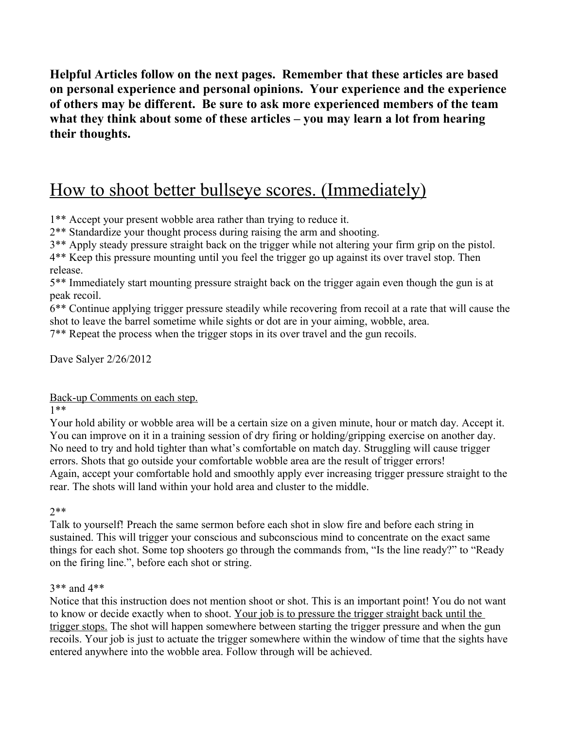**Helpful Articles follow on the next pages. Remember that these articles are based on personal experience and personal opinions. Your experience and the experience of others may be different. Be sure to ask more experienced members of the team what they think about some of these articles – you may learn a lot from hearing their thoughts.** 

# How to shoot better bullseye scores. (Immediately)

1\*\* Accept your present wobble area rather than trying to reduce it.

2\*\* Standardize your thought process during raising the arm and shooting.

3\*\* Apply steady pressure straight back on the trigger while not altering your firm grip on the pistol.

4\*\* Keep this pressure mounting until you feel the trigger go up against its over travel stop. Then release.

5\*\* Immediately start mounting pressure straight back on the trigger again even though the gun is at peak recoil.

6\*\* Continue applying trigger pressure steadily while recovering from recoil at a rate that will cause the shot to leave the barrel sometime while sights or dot are in your aiming, wobble, area.

7\*\* Repeat the process when the trigger stops in its over travel and the gun recoils.

Dave Salyer 2/26/2012

Back-up Comments on each step.

1\*\*

Your hold ability or wobble area will be a certain size on a given minute, hour or match day. Accept it. You can improve on it in a training session of dry firing or holding/gripping exercise on another day. No need to try and hold tighter than what's comfortable on match day. Struggling will cause trigger errors. Shots that go outside your comfortable wobble area are the result of trigger errors! Again, accept your comfortable hold and smoothly apply ever increasing trigger pressure straight to the rear. The shots will land within your hold area and cluster to the middle.

2\*\*

Talk to yourself! Preach the same sermon before each shot in slow fire and before each string in sustained. This will trigger your conscious and subconscious mind to concentrate on the exact same things for each shot. Some top shooters go through the commands from, "Is the line ready?" to "Ready on the firing line.", before each shot or string.

### 3\*\* and 4\*\*

Notice that this instruction does not mention shoot or shot. This is an important point! You do not want to know or decide exactly when to shoot. Your job is to pressure the trigger straight back until the trigger stops. The shot will happen somewhere between starting the trigger pressure and when the gun recoils. Your job is just to actuate the trigger somewhere within the window of time that the sights have entered anywhere into the wobble area. Follow through will be achieved.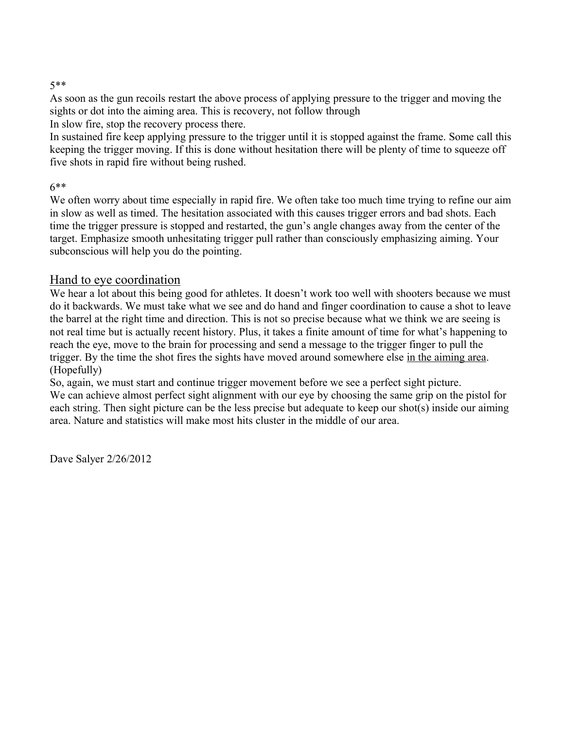### 5\*\*

As soon as the gun recoils restart the above process of applying pressure to the trigger and moving the sights or dot into the aiming area. This is recovery, not follow through

In slow fire, stop the recovery process there.

In sustained fire keep applying pressure to the trigger until it is stopped against the frame. Some call this keeping the trigger moving. If this is done without hesitation there will be plenty of time to squeeze off five shots in rapid fire without being rushed.

### 6\*\*

We often worry about time especially in rapid fire. We often take too much time trying to refine our aim in slow as well as timed. The hesitation associated with this causes trigger errors and bad shots. Each time the trigger pressure is stopped and restarted, the gun's angle changes away from the center of the target. Emphasize smooth unhesitating trigger pull rather than consciously emphasizing aiming. Your subconscious will help you do the pointing.

### Hand to eye coordination

We hear a lot about this being good for athletes. It doesn't work too well with shooters because we must do it backwards. We must take what we see and do hand and finger coordination to cause a shot to leave the barrel at the right time and direction. This is not so precise because what we think we are seeing is not real time but is actually recent history. Plus, it takes a finite amount of time for what's happening to reach the eye, move to the brain for processing and send a message to the trigger finger to pull the trigger. By the time the shot fires the sights have moved around somewhere else in the aiming area. (Hopefully)

So, again, we must start and continue trigger movement before we see a perfect sight picture. We can achieve almost perfect sight alignment with our eye by choosing the same grip on the pistol for each string. Then sight picture can be the less precise but adequate to keep our shot(s) inside our aiming area. Nature and statistics will make most hits cluster in the middle of our area.

Dave Salyer 2/26/2012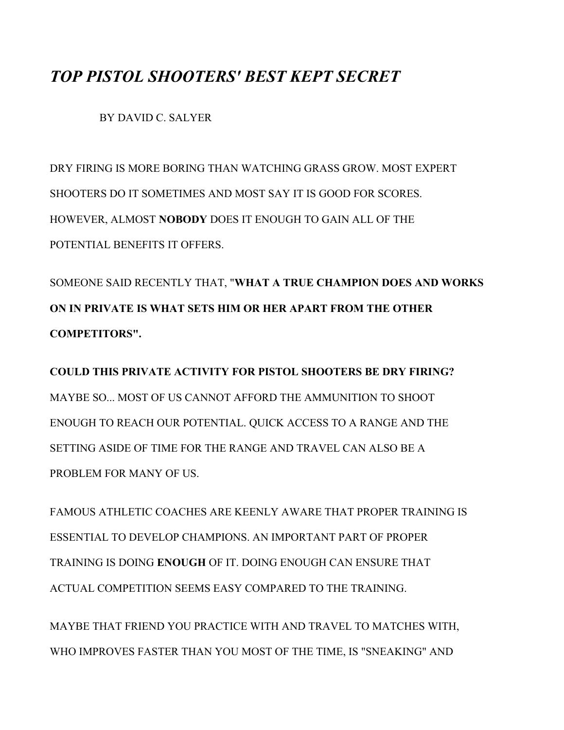## *TOP PISTOL SHOOTERS' BEST KEPT SECRET*

BY DAVID C. SALYER

DRY FIRING IS MORE BORING THAN WATCHING GRASS GROW. MOST EXPERT SHOOTERS DO IT SOMETIMES AND MOST SAY IT IS GOOD FOR SCORES. HOWEVER, ALMOST **NOBODY** DOES IT ENOUGH TO GAIN ALL OF THE POTENTIAL BENEFITS IT OFFERS.

SOMEONE SAID RECENTLY THAT, "**WHAT A TRUE CHAMPION DOES AND WORKS ON IN PRIVATE IS WHAT SETS HIM OR HER APART FROM THE OTHER COMPETITORS".** 

**COULD THIS PRIVATE ACTIVITY FOR PISTOL SHOOTERS BE DRY FIRING?**  MAYBE SO. MOST OF US CANNOT AFFORD THE AMMUNITION TO SHOOT ENOUGH TO REACH OUR POTENTIAL. QUICK ACCESS TO A RANGE AND THE SETTING ASIDE OF TIME FOR THE RANGE AND TRAVEL CAN ALSO BE A PROBLEM FOR MANY OF US.

FAMOUS ATHLETIC COACHES ARE KEENLY AWARE THAT PROPER TRAINING IS ESSENTIAL TO DEVELOP CHAMPIONS. AN IMPORTANT PART OF PROPER TRAINING IS DOING **ENOUGH** OF IT. DOING ENOUGH CAN ENSURE THAT ACTUAL COMPETITION SEEMS EASY COMPARED TO THE TRAINING.

MAYBE THAT FRIEND YOU PRACTICE WITH AND TRAVEL TO MATCHES WITH, WHO IMPROVES FASTER THAN YOU MOST OF THE TIME, IS "SNEAKING" AND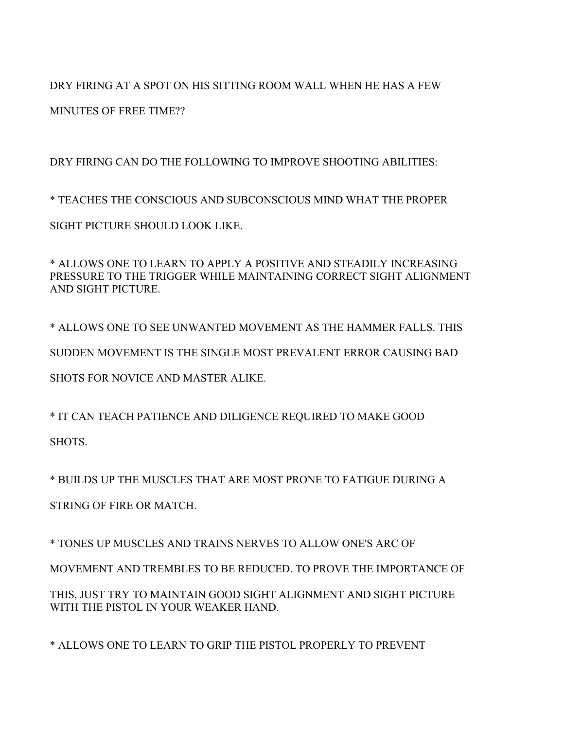DRY FIRING AT A SPOT ON HIS SITTING ROOM WALL WHEN HE HAS A FEW

MINUTES OF FREE TIME??

DRY FIRING CAN DO THE FOLLOWING TO IMPROVE SHOOTING ABILITIES:

\* TEACHES THE CONSCIOUS AND SUBCONSCIOUS MIND WHAT THE PROPER SIGHT PICTURE SHOULD LOOK LIKE.

\* ALLOWS ONE TO LEARN TO APPLY A POSITIVE AND STEADILY INCREASING PRESSURE TO THE TRIGGER WHILE MAINTAINING CORRECT SIGHT ALIGNMENT AND SIGHT PICTURE.

\* ALLOWS ONE TO SEE UNWANTED MOVEMENT AS THE HAMMER FALLS. THIS SUDDEN MOVEMENT IS THE SINGLE MOST PREVALENT ERROR CAUSING BAD SHOTS FOR NOVICE AND MASTER ALIKE.

\* IT CAN TEACH PATIENCE AND DILIGENCE REQUIRED TO MAKE GOOD SHOTS.

\* BUILDS UP THE MUSCLES THAT ARE MOST PRONE TO FATIGUE DURING A

STRING OF FIRE OR MATCH.

\* TONES UP MUSCLES AND TRAINS NERVES TO ALLOW ONE'S ARC OF MOVEMENT AND TREMBLES TO BE REDUCED. TO PROVE THE IMPORTANCE OF THIS, JUST TRY TO MAINTAIN GOOD SIGHT ALIGNMENT AND SIGHT PICTURE WITH THE PISTOL IN YOUR WEAKER HAND.

\* ALLOWS ONE TO LEARN TO GRIP THE PISTOL PROPERLY TO PREVENT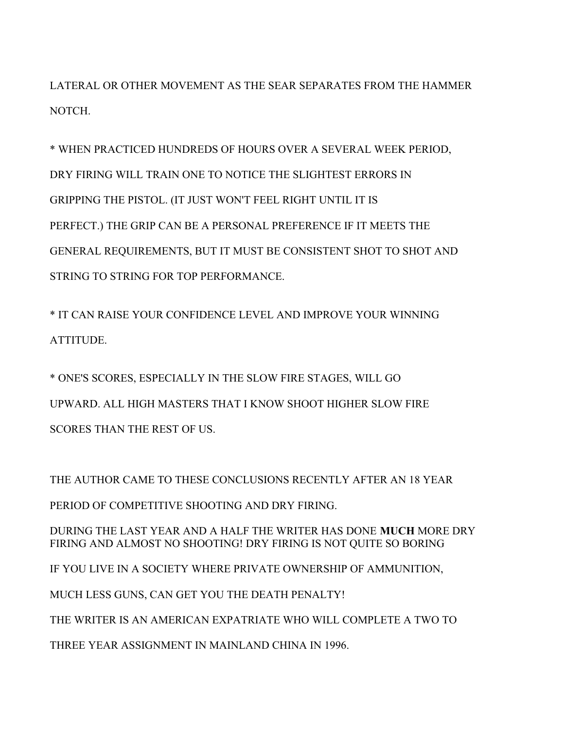LATERAL OR OTHER MOVEMENT AS THE SEAR SEPARATES FROM THE HAMMER NOTCH.

\* WHEN PRACTICED HUNDREDS OF HOURS OVER A SEVERAL WEEK PERIOD, DRY FIRING WILL TRAIN ONE TO NOTICE THE SLIGHTEST ERRORS IN GRIPPING THE PISTOL. (IT JUST WON'T FEEL RIGHT UNTIL IT IS PERFECT.) THE GRIP CAN BE A PERSONAL PREFERENCE IF IT MEETS THE GENERAL REQUIREMENTS, BUT IT MUST BE CONSISTENT SHOT TO SHOT AND STRING TO STRING FOR TOP PERFORMANCE.

\* IT CAN RAISE YOUR CONFIDENCE LEVEL AND IMPROVE YOUR WINNING ATTITUDE.

\* ONE'S SCORES, ESPECIALLY IN THE SLOW FIRE STAGES, WILL GO UPWARD. ALL HIGH MASTERS THAT I KNOW SHOOT HIGHER SLOW FIRE SCORES THAN THE REST OF US.

THE AUTHOR CAME TO THESE CONCLUSIONS RECENTLY AFTER AN 18 YEAR PERIOD OF COMPETITIVE SHOOTING AND DRY FIRING. DURING THE LAST YEAR AND A HALF THE WRITER HAS DONE **MUCH** MORE DRY FIRING AND ALMOST NO SHOOTING! DRY FIRING IS NOT QUITE SO BORING IF YOU LIVE IN A SOCIETY WHERE PRIVATE OWNERSHIP OF AMMUNITION, MUCH LESS GUNS, CAN GET YOU THE DEATH PENALTY! THE WRITER IS AN AMERICAN EXPATRIATE WHO WILL COMPLETE A TWO TO THREE YEAR ASSIGNMENT IN MAINLAND CHINA IN 1996.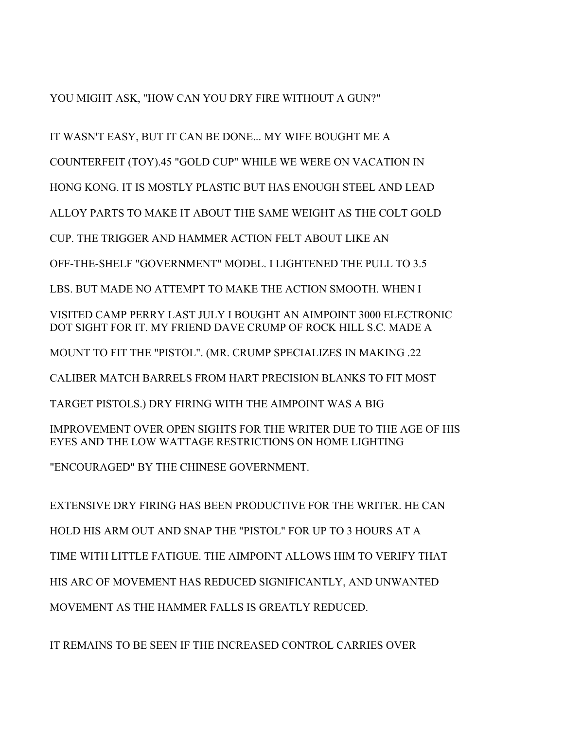YOU MIGHT ASK, "HOW CAN YOU DRY FIRE WITHOUT A GUN?"

IT WASN'T EASY, BUT IT CAN BE DONE... MY WIFE BOUGHT ME A

COUNTERFEIT (TOY).45 "GOLD CUP" WHILE WE WERE ON VACATION IN

HONG KONG. IT IS MOSTLY PLASTIC BUT HAS ENOUGH STEEL AND LEAD

ALLOY PARTS TO MAKE IT ABOUT THE SAME WEIGHT AS THE COLT GOLD

CUP. THE TRIGGER AND HAMMER ACTION FELT ABOUT LIKE AN

OFF-THE-SHELF "GOVERNMENT" MODEL. I LIGHTENED THE PULL TO 3.5

LBS. BUT MADE NO ATTEMPT TO MAKE THE ACTION SMOOTH. WHEN I

VISITED CAMP PERRY LAST JULY I BOUGHT AN AIMPOINT 3000 ELECTRONIC DOT SIGHT FOR IT. MY FRIEND DAVE CRUMP OF ROCK HILL S.C. MADE A

MOUNT TO FIT THE "PISTOL". (MR. CRUMP SPECIALIZES IN MAKING .22

CALIBER MATCH BARRELS FROM HART PRECISION BLANKS TO FIT MOST

TARGET PISTOLS.) DRY FIRING WITH THE AIMPOINT WAS A BIG

IMPROVEMENT OVER OPEN SIGHTS FOR THE WRITER DUE TO THE AGE OF HIS EYES AND THE LOW WATTAGE RESTRICTIONS ON HOME LIGHTING

"ENCOURAGED" BY THE CHINESE GOVERNMENT.

EXTENSIVE DRY FIRING HAS BEEN PRODUCTIVE FOR THE WRITER. HE CAN HOLD HIS ARM OUT AND SNAP THE "PISTOL" FOR UP TO 3 HOURS AT A TIME WITH LITTLE FATIGUE. THE AIMPOINT ALLOWS HIM TO VERIFY THAT HIS ARC OF MOVEMENT HAS REDUCED SIGNIFICANTLY, AND UNWANTED MOVEMENT AS THE HAMMER FALLS IS GREATLY REDUCED.

IT REMAINS TO BE SEEN IF THE INCREASED CONTROL CARRIES OVER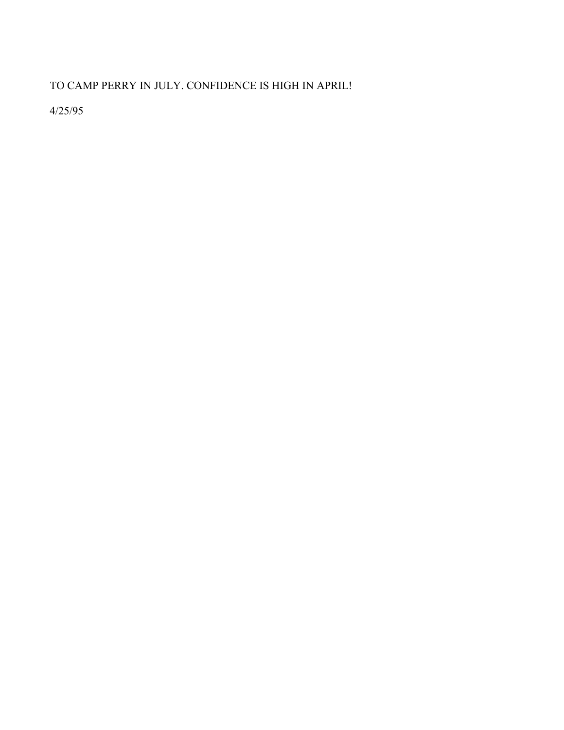TO CAMP PERRY IN JULY. CONFIDENCE IS HIGH IN APRIL!

4/25/95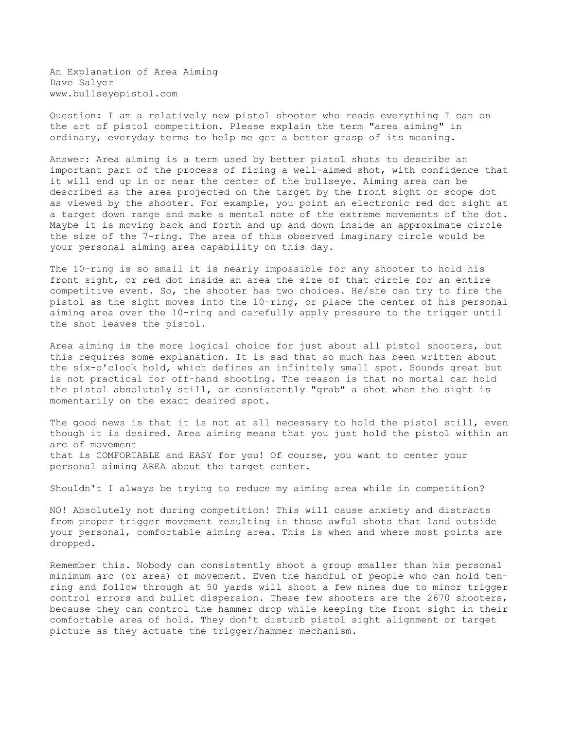An Explanation of Area Aiming Dave Salyer www.bullseyepistol.com

Question: I am a relatively new pistol shooter who reads everything I can on the art of pistol competition. Please explain the term "area aiming" in ordinary, everyday terms to help me get a better grasp of its meaning.

Answer: Area aiming is a term used by better pistol shots to describe an important part of the process of firing a well-aimed shot, with confidence that it will end up in or near the center of the bullseye. Aiming area can be described as the area projected on the target by the front sight or scope dot as viewed by the shooter. For example, you point an electronic red dot sight at a target down range and make a mental note of the extreme movements of the dot. Maybe it is moving back and forth and up and down inside an approximate circle the size of the 7-ring. The area of this observed imaginary circle would be your personal aiming area capability on this day.

The 10-ring is so small it is nearly impossible for any shooter to hold his front sight, or red dot inside an area the size of that circle for an entire competitive event. So, the shooter has two choices. He/she can try to fire the pistol as the sight moves into the 10-ring, or place the center of his personal aiming area over the 10-ring and carefully apply pressure to the trigger until the shot leaves the pistol.

Area aiming is the more logical choice for just about all pistol shooters, but this requires some explanation. It is sad that so much has been written about the six-o'clock hold, which defines an infinitely small spot. Sounds great but is not practical for off-hand shooting. The reason is that no mortal can hold the pistol absolutely still, or consistently "grab" a shot when the sight is momentarily on the exact desired spot.

The good news is that it is not at all necessary to hold the pistol still, even though it is desired. Area aiming means that you just hold the pistol within an arc of movement that is COMFORTABLE and EASY for you! Of course, you want to center your personal aiming AREA about the target center.

Shouldn't I always be trying to reduce my aiming area while in competition?

NO! Absolutely not during competition! This will cause anxiety and distracts from proper trigger movement resulting in those awful shots that land outside your personal, comfortable aiming area. This is when and where most points are dropped.

Remember this. Nobody can consistently shoot a group smaller than his personal minimum arc (or area) of movement. Even the handful of people who can hold tenring and follow through at 50 yards will shoot a few nines due to minor trigger control errors and bullet dispersion. These few shooters are the 2670 shooters, because they can control the hammer drop while keeping the front sight in their comfortable area of hold. They don't disturb pistol sight alignment or target picture as they actuate the trigger/hammer mechanism.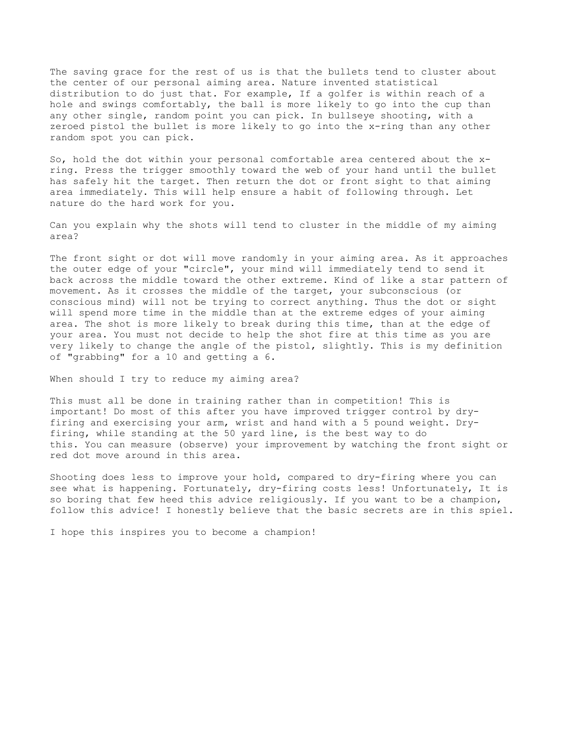The saving grace for the rest of us is that the bullets tend to cluster about the center of our personal aiming area. Nature invented statistical distribution to do just that. For example, If a golfer is within reach of a hole and swings comfortably, the ball is more likely to go into the cup than any other single, random point you can pick. In bullseye shooting, with a zeroed pistol the bullet is more likely to go into the x-ring than any other random spot you can pick.

So, hold the dot within your personal comfortable area centered about the xring. Press the trigger smoothly toward the web of your hand until the bullet has safely hit the target. Then return the dot or front sight to that aiming area immediately. This will help ensure a habit of following through. Let nature do the hard work for you.

Can you explain why the shots will tend to cluster in the middle of my aiming area?

The front sight or dot will move randomly in your aiming area. As it approaches the outer edge of your "circle", your mind will immediately tend to send it back across the middle toward the other extreme. Kind of like a star pattern of movement. As it crosses the middle of the target, your subconscious (or conscious mind) will not be trying to correct anything. Thus the dot or sight will spend more time in the middle than at the extreme edges of your aiming area. The shot is more likely to break during this time, than at the edge of your area. You must not decide to help the shot fire at this time as you are very likely to change the angle of the pistol, slightly. This is my definition of "grabbing" for a 10 and getting a 6.

When should I try to reduce my aiming area?

This must all be done in training rather than in competition! This is important! Do most of this after you have improved trigger control by dryfiring and exercising your arm, wrist and hand with a 5 pound weight. Dryfiring, while standing at the 50 yard line, is the best way to do this. You can measure (observe) your improvement by watching the front sight or red dot move around in this area.

Shooting does less to improve your hold, compared to dry-firing where you can see what is happening. Fortunately, dry-firing costs less! Unfortunately, It is so boring that few heed this advice religiously. If you want to be a champion, follow this advice! I honestly believe that the basic secrets are in this spiel.

I hope this inspires you to become a champion!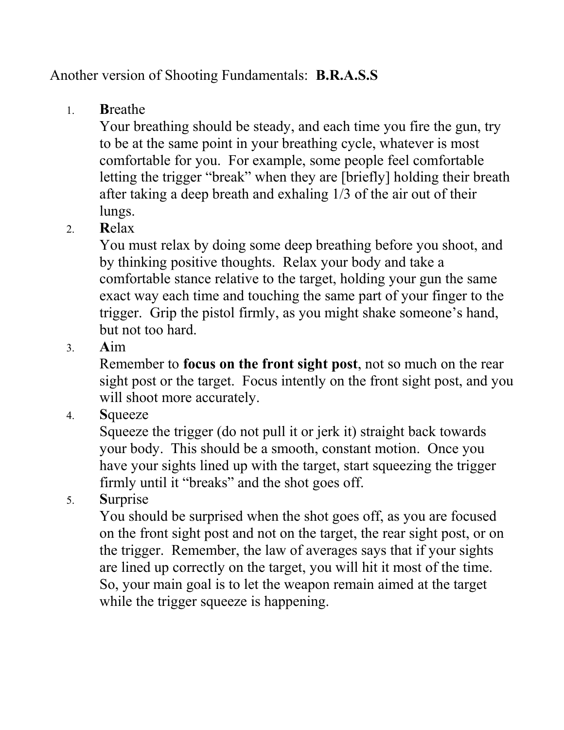## Another version of Shooting Fundamentals: **B.R.A.S.S**

1. **B**reathe

Your breathing should be steady, and each time you fire the gun, try to be at the same point in your breathing cycle, whatever is most comfortable for you. For example, some people feel comfortable letting the trigger "break" when they are [briefly] holding their breath after taking a deep breath and exhaling 1/3 of the air out of their lungs.

2. **R**elax

You must relax by doing some deep breathing before you shoot, and by thinking positive thoughts. Relax your body and take a comfortable stance relative to the target, holding your gun the same exact way each time and touching the same part of your finger to the trigger. Grip the pistol firmly, as you might shake someone's hand, but not too hard.

3. **A**im

Remember to **focus on the front sight post**, not so much on the rear sight post or the target. Focus intently on the front sight post, and you will shoot more accurately.

4. **S**queeze

Squeeze the trigger (do not pull it or jerk it) straight back towards your body. This should be a smooth, constant motion. Once you have your sights lined up with the target, start squeezing the trigger firmly until it "breaks" and the shot goes off.

5. **S**urprise

You should be surprised when the shot goes off, as you are focused on the front sight post and not on the target, the rear sight post, or on the trigger. Remember, the law of averages says that if your sights are lined up correctly on the target, you will hit it most of the time. So, your main goal is to let the weapon remain aimed at the target while the trigger squeeze is happening.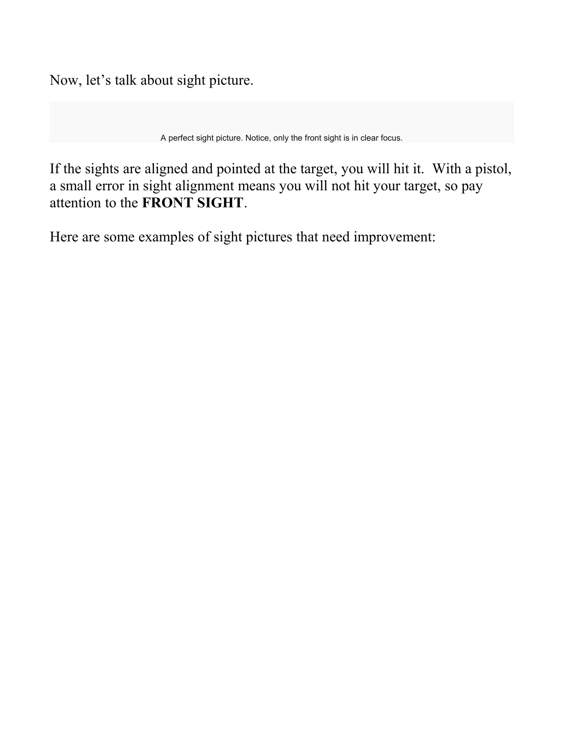Now, let's talk about sight picture.

A perfect sight picture. Notice, only the front sight is in clear focus.

If the sights are aligned and pointed at the target, you will hit it. With a pistol, a small error in sight alignment means you will not hit your target, so pay attention to the **FRONT SIGHT**.

Here are some examples of sight pictures that need improvement: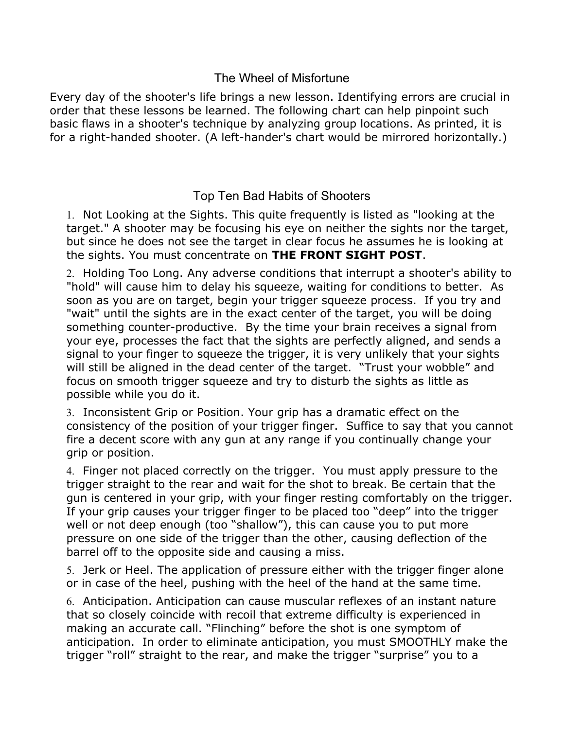### The Wheel of Misfortune

Every day of the shooter's life brings a new lesson. Identifying errors are crucial in order that these lessons be learned. The following chart can help pinpoint such basic flaws in a shooter's technique by analyzing group locations. As printed, it is for a right-handed shooter. (A left-hander's chart would be mirrored horizontally.)

## Top Ten Bad Habits of Shooters

1. Not Looking at the Sights. This quite frequently is listed as "looking at the target." A shooter may be focusing his eye on neither the sights nor the target, but since he does not see the target in clear focus he assumes he is looking at the sights. You must concentrate on **THE FRONT SIGHT POST**.

2. Holding Too Long. Any adverse conditions that interrupt a shooter's ability to "hold" will cause him to delay his squeeze, waiting for conditions to better. As soon as you are on target, begin your trigger squeeze process. If you try and "wait" until the sights are in the exact center of the target, you will be doing something counter-productive. By the time your brain receives a signal from your eye, processes the fact that the sights are perfectly aligned, and sends a signal to your finger to squeeze the trigger, it is very unlikely that your sights will still be aligned in the dead center of the target. "Trust your wobble" and focus on smooth trigger squeeze and try to disturb the sights as little as possible while you do it.

3. Inconsistent Grip or Position. Your grip has a dramatic effect on the consistency of the position of your trigger finger. Suffice to say that you cannot fire a decent score with any gun at any range if you continually change your grip or position.

4. Finger not placed correctly on the trigger. You must apply pressure to the trigger straight to the rear and wait for the shot to break. Be certain that the gun is centered in your grip, with your finger resting comfortably on the trigger. If your grip causes your trigger finger to be placed too "deep" into the trigger well or not deep enough (too "shallow"), this can cause you to put more pressure on one side of the trigger than the other, causing deflection of the barrel off to the opposite side and causing a miss.

5. Jerk or Heel. The application of pressure either with the trigger finger alone or in case of the heel, pushing with the heel of the hand at the same time.

6. Anticipation. Anticipation can cause muscular reflexes of an instant nature that so closely coincide with recoil that extreme difficulty is experienced in making an accurate call. "Flinching" before the shot is one symptom of anticipation. In order to eliminate anticipation, you must SMOOTHLY make the trigger "roll" straight to the rear, and make the trigger "surprise" you to a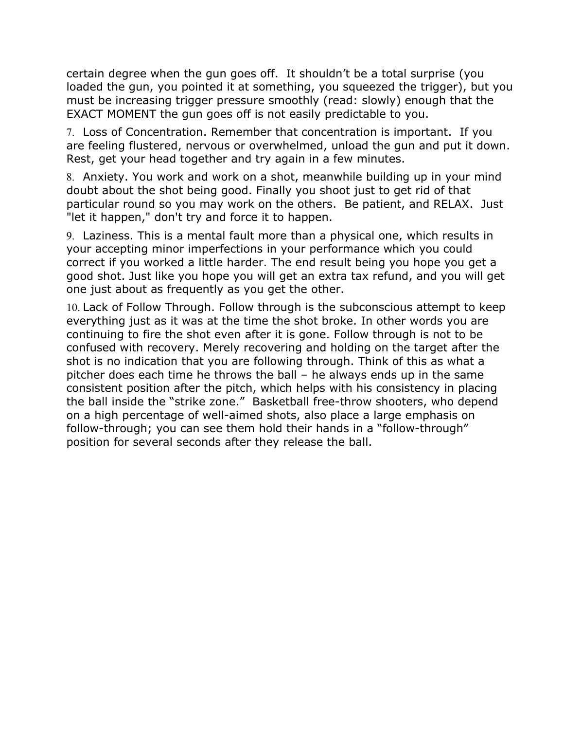certain degree when the gun goes off. It shouldn't be a total surprise (you loaded the gun, you pointed it at something, you squeezed the trigger), but you must be increasing trigger pressure smoothly (read: slowly) enough that the EXACT MOMENT the gun goes off is not easily predictable to you.

7. Loss of Concentration. Remember that concentration is important. If you are feeling flustered, nervous or overwhelmed, unload the gun and put it down. Rest, get your head together and try again in a few minutes.

8. Anxiety. You work and work on a shot, meanwhile building up in your mind doubt about the shot being good. Finally you shoot just to get rid of that particular round so you may work on the others. Be patient, and RELAX. Just "let it happen," don't try and force it to happen.

9. Laziness. This is a mental fault more than a physical one, which results in your accepting minor imperfections in your performance which you could correct if you worked a little harder. The end result being you hope you get a good shot. Just like you hope you will get an extra tax refund, and you will get one just about as frequently as you get the other.

10. Lack of Follow Through. Follow through is the subconscious attempt to keep everything just as it was at the time the shot broke. In other words you are continuing to fire the shot even after it is gone. Follow through is not to be confused with recovery. Merely recovering and holding on the target after the shot is no indication that you are following through. Think of this as what a pitcher does each time he throws the ball – he always ends up in the same consistent position after the pitch, which helps with his consistency in placing the ball inside the "strike zone." Basketball free-throw shooters, who depend on a high percentage of well-aimed shots, also place a large emphasis on follow-through; you can see them hold their hands in a "follow-through" position for several seconds after they release the ball.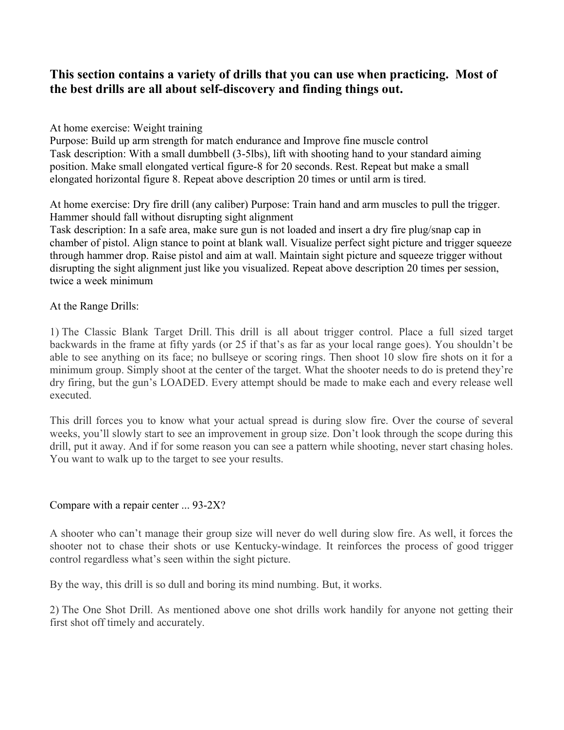### **This section contains a variety of drills that you can use when practicing. Most of the best drills are all about self-discovery and finding things out.**

### At home exercise: Weight training

Purpose: Build up arm strength for match endurance and Improve fine muscle control Task description: With a small dumbbell (3-5lbs), lift with shooting hand to your standard aiming position. Make small elongated vertical figure-8 for 20 seconds. Rest. Repeat but make a small elongated horizontal figure 8. Repeat above description 20 times or until arm is tired.

At home exercise: Dry fire drill (any caliber) Purpose: Train hand and arm muscles to pull the trigger. Hammer should fall without disrupting sight alignment

Task description: In a safe area, make sure gun is not loaded and insert a dry fire plug/snap cap in chamber of pistol. Align stance to point at blank wall. Visualize perfect sight picture and trigger squeeze through hammer drop. Raise pistol and aim at wall. Maintain sight picture and squeeze trigger without disrupting the sight alignment just like you visualized. Repeat above description 20 times per session, twice a week minimum

### At the Range Drills:

1) The Classic Blank Target Drill. This drill is all about trigger control. Place a full sized target backwards in the frame at fifty yards (or 25 if that's as far as your local range goes). You shouldn't be able to see anything on its face; no bullseye or scoring rings. Then shoot 10 slow fire shots on it for a minimum group. Simply shoot at the center of the target. What the shooter needs to do is pretend they're dry firing, but the gun's LOADED. Every attempt should be made to make each and every release well executed.

This drill forces you to know what your actual spread is during slow fire. Over the course of several weeks, you'll slowly start to see an improvement in group size. Don't look through the scope during this drill, put it away. And if for some reason you can see a pattern while shooting, never start chasing holes. You want to walk up to the target to see your results.

### Compare with a repair center ... 93-2X?

A shooter who can't manage their group size will never do well during slow fire. As well, it forces the shooter not to chase their shots or use Kentucky-windage. It reinforces the process of good trigger control regardless what's seen within the sight picture.

By the way, this drill is so dull and boring its mind numbing. But, it works.

2) The One Shot Drill. As mentioned above one shot drills work handily for anyone not getting their first shot off timely and accurately.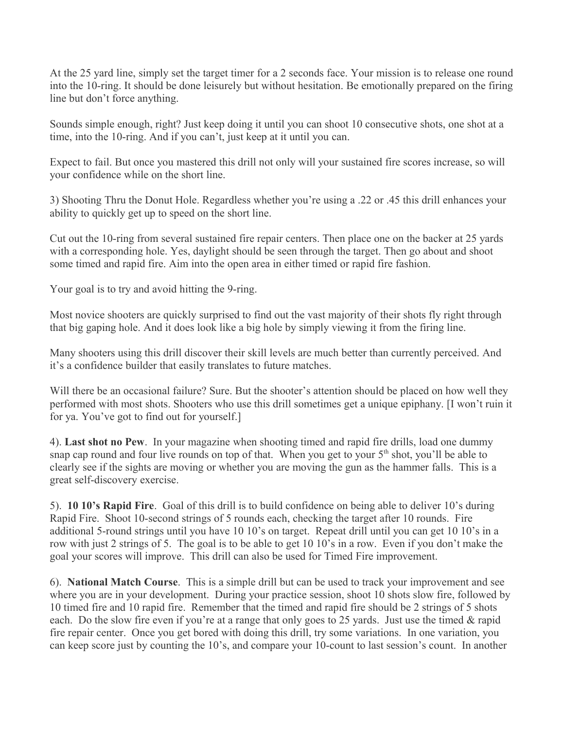At the 25 yard line, simply set the target timer for a 2 seconds face. Your mission is to release one round into the 10-ring. It should be done leisurely but without hesitation. Be emotionally prepared on the firing line but don't force anything.

Sounds simple enough, right? Just keep doing it until you can shoot 10 consecutive shots, one shot at a time, into the 10-ring. And if you can't, just keep at it until you can.

Expect to fail. But once you mastered this drill not only will your sustained fire scores increase, so will your confidence while on the short line.

3) Shooting Thru the Donut Hole. Regardless whether you're using a .22 or .45 this drill enhances your ability to quickly get up to speed on the short line.

Cut out the 10-ring from several sustained fire repair centers. Then place one on the backer at 25 yards with a corresponding hole. Yes, daylight should be seen through the target. Then go about and shoot some timed and rapid fire. Aim into the open area in either timed or rapid fire fashion.

Your goal is to try and avoid hitting the 9-ring.

Most novice shooters are quickly surprised to find out the vast majority of their shots fly right through that big gaping hole. And it does look like a big hole by simply viewing it from the firing line.

Many shooters using this drill discover their skill levels are much better than currently perceived. And it's a confidence builder that easily translates to future matches.

Will there be an occasional failure? Sure. But the shooter's attention should be placed on how well they performed with most shots. Shooters who use this drill sometimes get a unique epiphany. [I won't ruin it for ya. You've got to find out for yourself.]

4). **Last shot no Pew**. In your magazine when shooting timed and rapid fire drills, load one dummy snap cap round and four live rounds on top of that. When you get to your  $5<sup>th</sup>$  shot, you'll be able to clearly see if the sights are moving or whether you are moving the gun as the hammer falls. This is a great self-discovery exercise.

5). **10 10's Rapid Fire**. Goal of this drill is to build confidence on being able to deliver 10's during Rapid Fire. Shoot 10-second strings of 5 rounds each, checking the target after 10 rounds. Fire additional 5-round strings until you have 10 10's on target. Repeat drill until you can get 10 10's in a row with just 2 strings of 5. The goal is to be able to get 10 10's in a row. Even if you don't make the goal your scores will improve. This drill can also be used for Timed Fire improvement.

6). **National Match Course**. This is a simple drill but can be used to track your improvement and see where you are in your development. During your practice session, shoot 10 shots slow fire, followed by 10 timed fire and 10 rapid fire. Remember that the timed and rapid fire should be 2 strings of 5 shots each. Do the slow fire even if you're at a range that only goes to 25 yards. Just use the timed & rapid fire repair center. Once you get bored with doing this drill, try some variations. In one variation, you can keep score just by counting the 10's, and compare your 10-count to last session's count. In another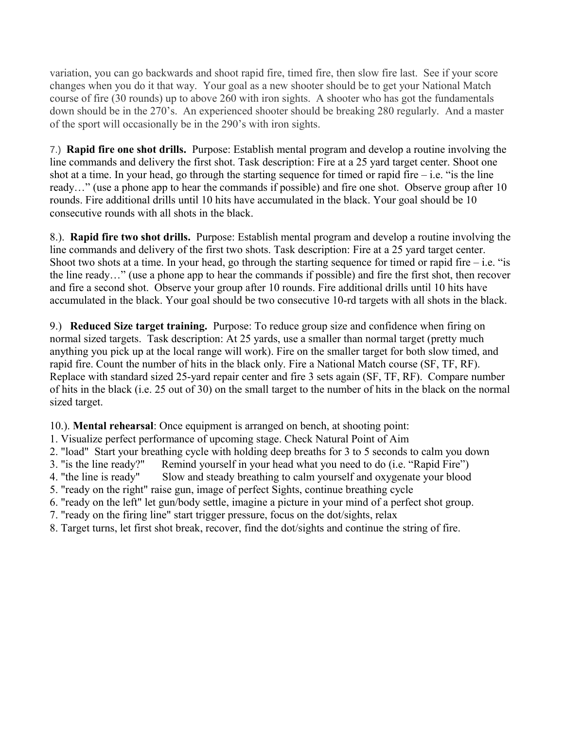variation, you can go backwards and shoot rapid fire, timed fire, then slow fire last. See if your score changes when you do it that way. Your goal as a new shooter should be to get your National Match course of fire (30 rounds) up to above 260 with iron sights. A shooter who has got the fundamentals down should be in the 270's. An experienced shooter should be breaking 280 regularly. And a master of the sport will occasionally be in the 290's with iron sights.

7.) **Rapid fire one shot drills.** Purpose: Establish mental program and develop a routine involving the line commands and delivery the first shot. Task description: Fire at a 25 yard target center. Shoot one shot at a time. In your head, go through the starting sequence for timed or rapid fire  $-$  i.e. "is the line ready…" (use a phone app to hear the commands if possible) and fire one shot. Observe group after 10 rounds. Fire additional drills until 10 hits have accumulated in the black. Your goal should be 10 consecutive rounds with all shots in the black.

8.). **Rapid fire two shot drills.** Purpose: Establish mental program and develop a routine involving the line commands and delivery of the first two shots. Task description: Fire at a 25 yard target center. Shoot two shots at a time. In your head, go through the starting sequence for timed or rapid fire  $-$  i.e. "is the line ready…" (use a phone app to hear the commands if possible) and fire the first shot, then recover and fire a second shot. Observe your group after 10 rounds. Fire additional drills until 10 hits have accumulated in the black. Your goal should be two consecutive 10-rd targets with all shots in the black.

9.) **Reduced Size target training.** Purpose: To reduce group size and confidence when firing on normal sized targets. Task description: At 25 yards, use a smaller than normal target (pretty much anything you pick up at the local range will work). Fire on the smaller target for both slow timed, and rapid fire. Count the number of hits in the black only. Fire a National Match course (SF, TF, RF). Replace with standard sized 25-yard repair center and fire 3 sets again (SF, TF, RF). Compare number of hits in the black (i.e. 25 out of 30) on the small target to the number of hits in the black on the normal sized target.

10.). **Mental rehearsal**: Once equipment is arranged on bench, at shooting point:

- 1. Visualize perfect performance of upcoming stage. Check Natural Point of Aim
- 2. "load" Start your breathing cycle with holding deep breaths for 3 to 5 seconds to calm you down
- 3. "is the line ready?" Remind yourself in your head what you need to do (i.e. "Rapid Fire")
- 4. "the line is ready" Slow and steady breathing to calm yourself and oxygenate your blood
- 5. "ready on the right" raise gun, image of perfect Sights, continue breathing cycle
- 6. "ready on the left" let gun/body settle, imagine a picture in your mind of a perfect shot group.
- 7. "ready on the firing line" start trigger pressure, focus on the dot/sights, relax
- 8. Target turns, let first shot break, recover, find the dot/sights and continue the string of fire.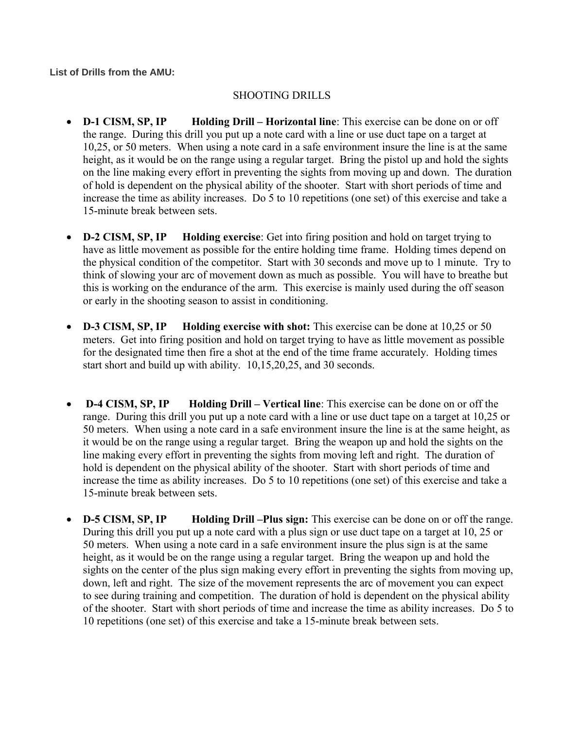**List of Drills from the AMU:** 

### SHOOTING DRILLS

- **D-1 CISM, SP, IP Holding Drill Horizontal line**: This exercise can be done on or off the range. During this drill you put up a note card with a line or use duct tape on a target at 10,25, or 50 meters. When using a note card in a safe environment insure the line is at the same height, as it would be on the range using a regular target. Bring the pistol up and hold the sights on the line making every effort in preventing the sights from moving up and down. The duration of hold is dependent on the physical ability of the shooter. Start with short periods of time and increase the time as ability increases. Do 5 to 10 repetitions (one set) of this exercise and take a 15-minute break between sets.
- **D-2 CISM, SP, IP Holding exercise**: Get into firing position and hold on target trying to have as little movement as possible for the entire holding time frame. Holding times depend on the physical condition of the competitor. Start with 30 seconds and move up to 1 minute. Try to think of slowing your arc of movement down as much as possible. You will have to breathe but this is working on the endurance of the arm. This exercise is mainly used during the off season or early in the shooting season to assist in conditioning.
- **D-3 CISM, SP, IP Holding exercise with shot:** This exercise can be done at 10,25 or 50 meters. Get into firing position and hold on target trying to have as little movement as possible for the designated time then fire a shot at the end of the time frame accurately. Holding times start short and build up with ability. 10,15,20,25, and 30 seconds.
- **D-4 CISM, SP, IP Holding Drill Vertical line**: This exercise can be done on or off the range. During this drill you put up a note card with a line or use duct tape on a target at 10,25 or 50 meters. When using a note card in a safe environment insure the line is at the same height, as it would be on the range using a regular target. Bring the weapon up and hold the sights on the line making every effort in preventing the sights from moving left and right. The duration of hold is dependent on the physical ability of the shooter. Start with short periods of time and increase the time as ability increases. Do 5 to 10 repetitions (one set) of this exercise and take a 15-minute break between sets.
- **D-5 CISM, SP, IP Holding Drill –Plus sign:** This exercise can be done on or off the range. During this drill you put up a note card with a plus sign or use duct tape on a target at 10, 25 or 50 meters. When using a note card in a safe environment insure the plus sign is at the same height, as it would be on the range using a regular target. Bring the weapon up and hold the sights on the center of the plus sign making every effort in preventing the sights from moving up, down, left and right. The size of the movement represents the arc of movement you can expect to see during training and competition. The duration of hold is dependent on the physical ability of the shooter. Start with short periods of time and increase the time as ability increases. Do 5 to 10 repetitions (one set) of this exercise and take a 15-minute break between sets.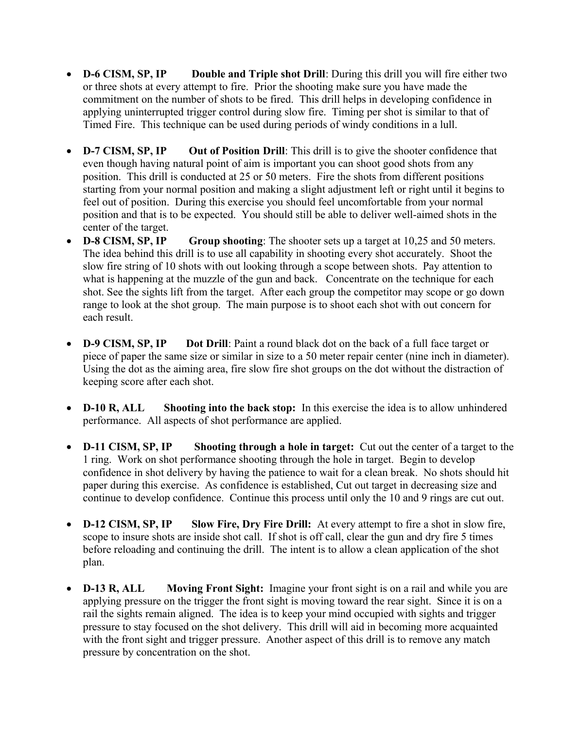- **D-6 CISM, SP, IP Double and Triple shot Drill**: During this drill you will fire either two or three shots at every attempt to fire. Prior the shooting make sure you have made the commitment on the number of shots to be fired. This drill helps in developing confidence in applying uninterrupted trigger control during slow fire. Timing per shot is similar to that of Timed Fire. This technique can be used during periods of windy conditions in a lull.
- **D-7 CISM, SP, IP** Out of Position Drill: This drill is to give the shooter confidence that even though having natural point of aim is important you can shoot good shots from any position. This drill is conducted at 25 or 50 meters. Fire the shots from different positions starting from your normal position and making a slight adjustment left or right until it begins to feel out of position. During this exercise you should feel uncomfortable from your normal position and that is to be expected. You should still be able to deliver well-aimed shots in the center of the target.
- **D-8 CISM, SP, IP Group shooting**: The shooter sets up a target at 10,25 and 50 meters. The idea behind this drill is to use all capability in shooting every shot accurately. Shoot the slow fire string of 10 shots with out looking through a scope between shots. Pay attention to what is happening at the muzzle of the gun and back. Concentrate on the technique for each shot. See the sights lift from the target. After each group the competitor may scope or go down range to look at the shot group. The main purpose is to shoot each shot with out concern for each result.
- **D-9 CISM, SP, IP Dot Drill**: Paint a round black dot on the back of a full face target or piece of paper the same size or similar in size to a 50 meter repair center (nine inch in diameter). Using the dot as the aiming area, fire slow fire shot groups on the dot without the distraction of keeping score after each shot.
- **D-10 R, ALL Shooting into the back stop:** In this exercise the idea is to allow unhindered performance. All aspects of shot performance are applied.
- **D-11 CISM, SP, IP Shooting through a hole in target:** Cut out the center of a target to the 1 ring. Work on shot performance shooting through the hole in target. Begin to develop confidence in shot delivery by having the patience to wait for a clean break. No shots should hit paper during this exercise. As confidence is established, Cut out target in decreasing size and continue to develop confidence. Continue this process until only the 10 and 9 rings are cut out.
- **D-12 CISM, SP, IP Slow Fire, Dry Fire Drill:** At every attempt to fire a shot in slow fire, scope to insure shots are inside shot call. If shot is off call, clear the gun and dry fire 5 times before reloading and continuing the drill. The intent is to allow a clean application of the shot plan.
- **D-13 R, ALL Moving Front Sight:** Imagine your front sight is on a rail and while you are applying pressure on the trigger the front sight is moving toward the rear sight. Since it is on a rail the sights remain aligned. The idea is to keep your mind occupied with sights and trigger pressure to stay focused on the shot delivery. This drill will aid in becoming more acquainted with the front sight and trigger pressure. Another aspect of this drill is to remove any match pressure by concentration on the shot.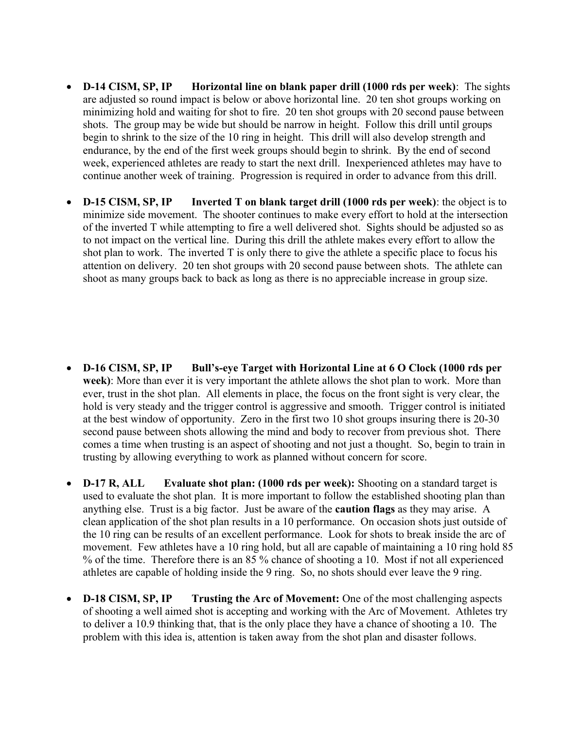- **D-14 CISM, SP, IP Horizontal line on blank paper drill (1000 rds per week)**: The sights are adjusted so round impact is below or above horizontal line. 20 ten shot groups working on minimizing hold and waiting for shot to fire. 20 ten shot groups with 20 second pause between shots. The group may be wide but should be narrow in height. Follow this drill until groups begin to shrink to the size of the 10 ring in height. This drill will also develop strength and endurance, by the end of the first week groups should begin to shrink. By the end of second week, experienced athletes are ready to start the next drill. Inexperienced athletes may have to continue another week of training. Progression is required in order to advance from this drill.
- **D-15 CISM, SP, IP Inverted T on blank target drill (1000 rds per week)**: the object is to minimize side movement. The shooter continues to make every effort to hold at the intersection of the inverted T while attempting to fire a well delivered shot. Sights should be adjusted so as to not impact on the vertical line. During this drill the athlete makes every effort to allow the shot plan to work. The inverted T is only there to give the athlete a specific place to focus his attention on delivery. 20 ten shot groups with 20 second pause between shots. The athlete can shoot as many groups back to back as long as there is no appreciable increase in group size.

- **D-16 CISM, SP, IP Bull's-eye Target with Horizontal Line at 6 O Clock (1000 rds per week)**: More than ever it is very important the athlete allows the shot plan to work. More than ever, trust in the shot plan. All elements in place, the focus on the front sight is very clear, the hold is very steady and the trigger control is aggressive and smooth. Trigger control is initiated at the best window of opportunity. Zero in the first two 10 shot groups insuring there is 20-30 second pause between shots allowing the mind and body to recover from previous shot. There comes a time when trusting is an aspect of shooting and not just a thought. So, begin to train in trusting by allowing everything to work as planned without concern for score.
- **D-17 R, ALL** Evaluate shot plan: (1000 rds per week): Shooting on a standard target is used to evaluate the shot plan. It is more important to follow the established shooting plan than anything else. Trust is a big factor. Just be aware of the **caution flags** as they may arise. A clean application of the shot plan results in a 10 performance. On occasion shots just outside of the 10 ring can be results of an excellent performance. Look for shots to break inside the arc of movement. Few athletes have a 10 ring hold, but all are capable of maintaining a 10 ring hold 85 % of the time. Therefore there is an 85 % chance of shooting a 10. Most if not all experienced athletes are capable of holding inside the 9 ring. So, no shots should ever leave the 9 ring.
- **D-18 CISM, SP, IP Trusting the Arc of Movement:** One of the most challenging aspects of shooting a well aimed shot is accepting and working with the Arc of Movement. Athletes try to deliver a 10.9 thinking that, that is the only place they have a chance of shooting a 10. The problem with this idea is, attention is taken away from the shot plan and disaster follows.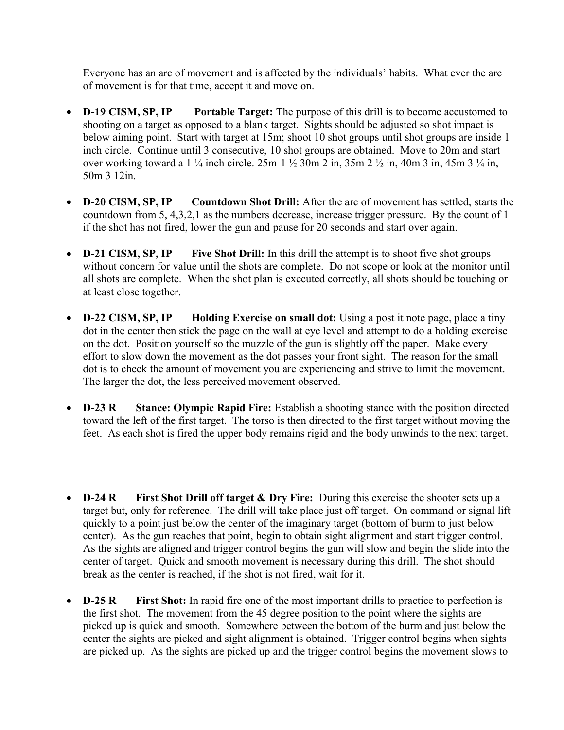Everyone has an arc of movement and is affected by the individuals' habits. What ever the arc of movement is for that time, accept it and move on.

- **D-19 CISM, SP, IP Portable Target:** The purpose of this drill is to become accustomed to shooting on a target as opposed to a blank target. Sights should be adjusted so shot impact is below aiming point. Start with target at 15m; shoot 10 shot groups until shot groups are inside 1 inch circle. Continue until 3 consecutive, 10 shot groups are obtained. Move to 20m and start over working toward a 1 ¼ inch circle. 25m-1 ½ 30m 2 in, 35m 2 ½ in, 40m 3 in, 45m 3 ¼ in, 50m 3 12in.
- **D-20 CISM, SP, IP Countdown Shot Drill:** After the arc of movement has settled, starts the countdown from 5, 4,3,2,1 as the numbers decrease, increase trigger pressure. By the count of 1 if the shot has not fired, lower the gun and pause for 20 seconds and start over again.
- **D-21 CISM, SP, IP** Five Shot Drill: In this drill the attempt is to shoot five shot groups without concern for value until the shots are complete. Do not scope or look at the monitor until all shots are complete. When the shot plan is executed correctly, all shots should be touching or at least close together.
- **D-22 CISM, SP, IP Holding Exercise on small dot:** Using a post it note page, place a tiny dot in the center then stick the page on the wall at eye level and attempt to do a holding exercise on the dot. Position yourself so the muzzle of the gun is slightly off the paper. Make every effort to slow down the movement as the dot passes your front sight. The reason for the small dot is to check the amount of movement you are experiencing and strive to limit the movement. The larger the dot, the less perceived movement observed.
- **D-23 R Stance: Olympic Rapid Fire:** Establish a shooting stance with the position directed toward the left of the first target. The torso is then directed to the first target without moving the feet. As each shot is fired the upper body remains rigid and the body unwinds to the next target.
- **D-24 R First Shot Drill off target & Dry Fire:** During this exercise the shooter sets up a target but, only for reference. The drill will take place just off target. On command or signal lift quickly to a point just below the center of the imaginary target (bottom of burm to just below center). As the gun reaches that point, begin to obtain sight alignment and start trigger control. As the sights are aligned and trigger control begins the gun will slow and begin the slide into the center of target. Quick and smooth movement is necessary during this drill. The shot should break as the center is reached, if the shot is not fired, wait for it.
- **D-25 R** First Shot: In rapid fire one of the most important drills to practice to perfection is the first shot. The movement from the 45 degree position to the point where the sights are picked up is quick and smooth. Somewhere between the bottom of the burm and just below the center the sights are picked and sight alignment is obtained. Trigger control begins when sights are picked up. As the sights are picked up and the trigger control begins the movement slows to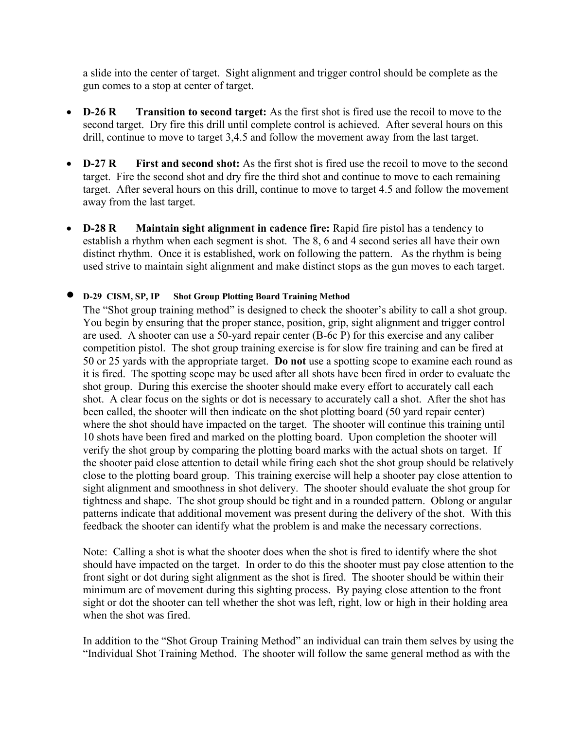a slide into the center of target. Sight alignment and trigger control should be complete as the gun comes to a stop at center of target.

- **D-26 R Transition to second target:** As the first shot is fired use the recoil to move to the second target. Dry fire this drill until complete control is achieved. After several hours on this drill, continue to move to target 3,4.5 and follow the movement away from the last target.
- **D-27 R** First and second shot: As the first shot is fired use the recoil to move to the second target. Fire the second shot and dry fire the third shot and continue to move to each remaining target. After several hours on this drill, continue to move to target 4.5 and follow the movement away from the last target.
- **D-28 R Maintain sight alignment in cadence fire:** Rapid fire pistol has a tendency to establish a rhythm when each segment is shot. The 8, 6 and 4 second series all have their own distinct rhythm. Once it is established, work on following the pattern. As the rhythm is being used strive to maintain sight alignment and make distinct stops as the gun moves to each target.

### **D-29 CISM, SP, IP Shot Group Plotting Board Training Method**

The "Shot group training method" is designed to check the shooter's ability to call a shot group. You begin by ensuring that the proper stance, position, grip, sight alignment and trigger control are used. A shooter can use a 50-yard repair center (B-6c P) for this exercise and any caliber competition pistol. The shot group training exercise is for slow fire training and can be fired at 50 or 25 yards with the appropriate target. **Do not** use a spotting scope to examine each round as it is fired. The spotting scope may be used after all shots have been fired in order to evaluate the shot group. During this exercise the shooter should make every effort to accurately call each shot. A clear focus on the sights or dot is necessary to accurately call a shot. After the shot has been called, the shooter will then indicate on the shot plotting board (50 yard repair center) where the shot should have impacted on the target. The shooter will continue this training until 10 shots have been fired and marked on the plotting board. Upon completion the shooter will verify the shot group by comparing the plotting board marks with the actual shots on target. If the shooter paid close attention to detail while firing each shot the shot group should be relatively close to the plotting board group. This training exercise will help a shooter pay close attention to sight alignment and smoothness in shot delivery. The shooter should evaluate the shot group for tightness and shape. The shot group should be tight and in a rounded pattern. Oblong or angular patterns indicate that additional movement was present during the delivery of the shot. With this feedback the shooter can identify what the problem is and make the necessary corrections.

Note: Calling a shot is what the shooter does when the shot is fired to identify where the shot should have impacted on the target. In order to do this the shooter must pay close attention to the front sight or dot during sight alignment as the shot is fired. The shooter should be within their minimum arc of movement during this sighting process. By paying close attention to the front sight or dot the shooter can tell whether the shot was left, right, low or high in their holding area when the shot was fired.

In addition to the "Shot Group Training Method" an individual can train them selves by using the "Individual Shot Training Method. The shooter will follow the same general method as with the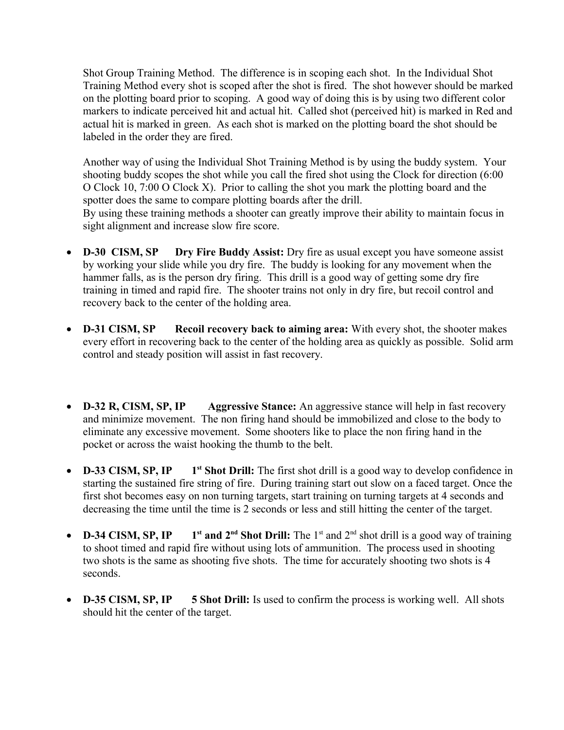Shot Group Training Method. The difference is in scoping each shot. In the Individual Shot Training Method every shot is scoped after the shot is fired. The shot however should be marked on the plotting board prior to scoping. A good way of doing this is by using two different color markers to indicate perceived hit and actual hit. Called shot (perceived hit) is marked in Red and actual hit is marked in green. As each shot is marked on the plotting board the shot should be labeled in the order they are fired.

Another way of using the Individual Shot Training Method is by using the buddy system. Your shooting buddy scopes the shot while you call the fired shot using the Clock for direction (6:00 O Clock 10, 7:00 O Clock X). Prior to calling the shot you mark the plotting board and the spotter does the same to compare plotting boards after the drill.

By using these training methods a shooter can greatly improve their ability to maintain focus in sight alignment and increase slow fire score.

- **D-30 CISM, SP Dry Fire Buddy Assist:** Dry fire as usual except you have someone assist by working your slide while you dry fire. The buddy is looking for any movement when the hammer falls, as is the person dry firing. This drill is a good way of getting some dry fire training in timed and rapid fire. The shooter trains not only in dry fire, but recoil control and recovery back to the center of the holding area.
- **D-31 CISM, SP Recoil recovery back to aiming area:** With every shot, the shooter makes every effort in recovering back to the center of the holding area as quickly as possible. Solid arm control and steady position will assist in fast recovery.
- **D-32 R, CISM, SP, IP Aggressive Stance:** An aggressive stance will help in fast recovery and minimize movement. The non firing hand should be immobilized and close to the body to eliminate any excessive movement. Some shooters like to place the non firing hand in the pocket or across the waist hooking the thumb to the belt.
- **D-33 CISM, SP, IP** 1<sup>st</sup> Shot Drill: The first shot drill is a good way to develop confidence in starting the sustained fire string of fire. During training start out slow on a faced target. Once the first shot becomes easy on non turning targets, start training on turning targets at 4 seconds and decreasing the time until the time is 2 seconds or less and still hitting the center of the target.
- **• D-34 CISM, SP, IP** 1<sup>st</sup> and  $2^{nd}$  Shot Drill: The 1<sup>st</sup> and  $2^{nd}$  shot drill is a good way of training to shoot timed and rapid fire without using lots of ammunition. The process used in shooting two shots is the same as shooting five shots. The time for accurately shooting two shots is 4 seconds.
- **D-35 CISM, SP, IP** 5 Shot Drill: Is used to confirm the process is working well. All shots should hit the center of the target.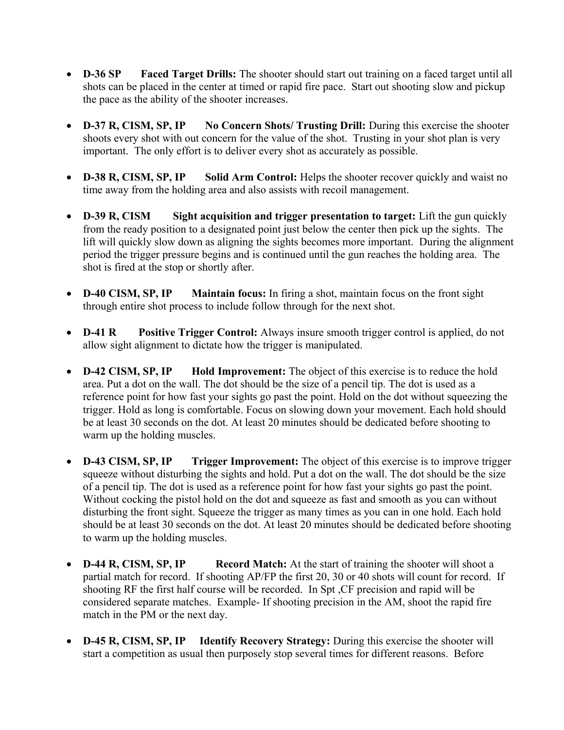- **D-36 SP Faced Target Drills:** The shooter should start out training on a faced target until all shots can be placed in the center at timed or rapid fire pace. Start out shooting slow and pickup the pace as the ability of the shooter increases.
- **D-37 R, CISM, SP, IP No Concern Shots/ Trusting Drill:** During this exercise the shooter shoots every shot with out concern for the value of the shot. Trusting in your shot plan is very important. The only effort is to deliver every shot as accurately as possible.
- **D-38 R, CISM, SP, IP** Solid Arm Control: Helps the shooter recover quickly and waist no time away from the holding area and also assists with recoil management.
- **D-39 R, CISM Sight acquisition and trigger presentation to target:** Lift the gun quickly from the ready position to a designated point just below the center then pick up the sights. The lift will quickly slow down as aligning the sights becomes more important. During the alignment period the trigger pressure begins and is continued until the gun reaches the holding area. The shot is fired at the stop or shortly after.
- **D-40 CISM, SP, IP Maintain focus:** In firing a shot, maintain focus on the front sight through entire shot process to include follow through for the next shot.
- **D-41 R** Positive Trigger Control: Always insure smooth trigger control is applied, do not allow sight alignment to dictate how the trigger is manipulated.
- **D-42 CISM, SP, IP** Hold Improvement: The object of this exercise is to reduce the hold area. Put a dot on the wall. The dot should be the size of a pencil tip. The dot is used as a reference point for how fast your sights go past the point. Hold on the dot without squeezing the trigger. Hold as long is comfortable. Focus on slowing down your movement. Each hold should be at least 30 seconds on the dot. At least 20 minutes should be dedicated before shooting to warm up the holding muscles.
- **D-43 CISM, SP, IP** Trigger Improvement: The object of this exercise is to improve trigger squeeze without disturbing the sights and hold. Put a dot on the wall. The dot should be the size of a pencil tip. The dot is used as a reference point for how fast your sights go past the point. Without cocking the pistol hold on the dot and squeeze as fast and smooth as you can without disturbing the front sight. Squeeze the trigger as many times as you can in one hold. Each hold should be at least 30 seconds on the dot. At least 20 minutes should be dedicated before shooting to warm up the holding muscles.
- **D-44 R, CISM, SP, IP Record Match:** At the start of training the shooter will shoot a partial match for record. If shooting AP/FP the first 20, 30 or 40 shots will count for record. If shooting RF the first half course will be recorded. In Spt ,CF precision and rapid will be considered separate matches. Example- If shooting precision in the AM, shoot the rapid fire match in the PM or the next day.
- **D-45 R, CISM, SP, IP Identify Recovery Strategy:** During this exercise the shooter will start a competition as usual then purposely stop several times for different reasons. Before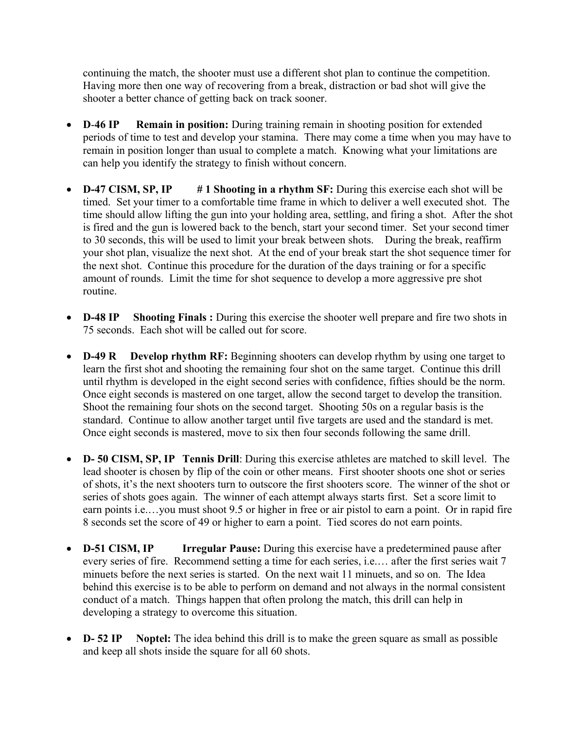continuing the match, the shooter must use a different shot plan to continue the competition. Having more then one way of recovering from a break, distraction or bad shot will give the shooter a better chance of getting back on track sooner.

- **D**-**46 IP Remain in position:** During training remain in shooting position for extended periods of time to test and develop your stamina. There may come a time when you may have to remain in position longer than usual to complete a match. Knowing what your limitations are can help you identify the strategy to finish without concern.
- **D-47 CISM, SP, IP** # 1 Shooting in a rhythm SF: During this exercise each shot will be timed. Set your timer to a comfortable time frame in which to deliver a well executed shot. The time should allow lifting the gun into your holding area, settling, and firing a shot. After the shot is fired and the gun is lowered back to the bench, start your second timer. Set your second timer to 30 seconds, this will be used to limit your break between shots. During the break, reaffirm your shot plan, visualize the next shot. At the end of your break start the shot sequence timer for the next shot. Continue this procedure for the duration of the days training or for a specific amount of rounds. Limit the time for shot sequence to develop a more aggressive pre shot routine.
- **D-48 IP** Shooting Finals: During this exercise the shooter well prepare and fire two shots in 75 seconds. Each shot will be called out for score.
- **D-49 R Develop rhythm RF:** Beginning shooters can develop rhythm by using one target to learn the first shot and shooting the remaining four shot on the same target. Continue this drill until rhythm is developed in the eight second series with confidence, fifties should be the norm. Once eight seconds is mastered on one target, allow the second target to develop the transition. Shoot the remaining four shots on the second target. Shooting 50s on a regular basis is the standard. Continue to allow another target until five targets are used and the standard is met. Once eight seconds is mastered, move to six then four seconds following the same drill.
- **D- 50 CISM, SP, IP Tennis Drill**: During this exercise athletes are matched to skill level. The lead shooter is chosen by flip of the coin or other means. First shooter shoots one shot or series of shots, it's the next shooters turn to outscore the first shooters score. The winner of the shot or series of shots goes again. The winner of each attempt always starts first. Set a score limit to earn points i.e.…you must shoot 9.5 or higher in free or air pistol to earn a point. Or in rapid fire 8 seconds set the score of 49 or higher to earn a point. Tied scores do not earn points.
- **D-51 CISM, IP Irregular Pause:** During this exercise have a predetermined pause after every series of fire. Recommend setting a time for each series, i.e.… after the first series wait 7 minuets before the next series is started. On the next wait 11 minuets, and so on. The Idea behind this exercise is to be able to perform on demand and not always in the normal consistent conduct of a match. Things happen that often prolong the match, this drill can help in developing a strategy to overcome this situation.
- **D- 52 IP Noptel:** The idea behind this drill is to make the green square as small as possible and keep all shots inside the square for all 60 shots.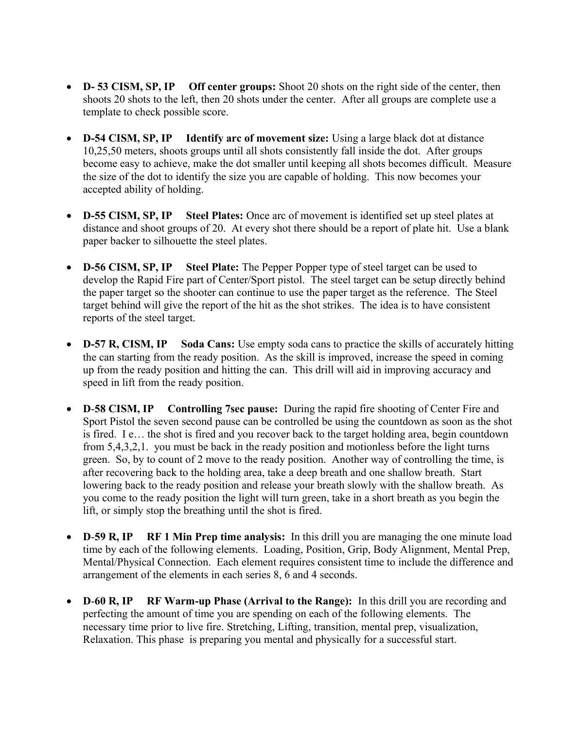- **D- 53 CISM, SP, IP Off center groups:** Shoot 20 shots on the right side of the center, then shoots 20 shots to the left, then 20 shots under the center. After all groups are complete use a template to check possible score.
- **D-54 CISM, SP, IP Identify arc of movement size:** Using a large black dot at distance 10,25,50 meters, shoots groups until all shots consistently fall inside the dot. After groups become easy to achieve, make the dot smaller until keeping all shots becomes difficult. Measure the size of the dot to identify the size you are capable of holding. This now becomes your accepted ability of holding.
- **D-55 CISM, SP, IP Steel Plates:** Once arc of movement is identified set up steel plates at distance and shoot groups of 20. At every shot there should be a report of plate hit. Use a blank paper backer to silhouette the steel plates.
- **D-56 CISM, SP, IP Steel Plate:** The Pepper Popper type of steel target can be used to develop the Rapid Fire part of Center/Sport pistol. The steel target can be setup directly behind the paper target so the shooter can continue to use the paper target as the reference. The Steel target behind will give the report of the hit as the shot strikes. The idea is to have consistent reports of the steel target.
- **D-57 R, CISM, IP Soda Cans:** Use empty soda cans to practice the skills of accurately hitting the can starting from the ready position. As the skill is improved, increase the speed in coming up from the ready position and hitting the can. This drill will aid in improving accuracy and speed in lift from the ready position.
- **D**-**58 CISM, IP Controlling 7sec pause:** During the rapid fire shooting of Center Fire and Sport Pistol the seven second pause can be controlled be using the countdown as soon as the shot is fired. I e… the shot is fired and you recover back to the target holding area, begin countdown from 5,4,3,2,1. you must be back in the ready position and motionless before the light turns green. So, by to count of 2 move to the ready position. Another way of controlling the time, is after recovering back to the holding area, take a deep breath and one shallow breath. Start lowering back to the ready position and release your breath slowly with the shallow breath. As you come to the ready position the light will turn green, take in a short breath as you begin the lift, or simply stop the breathing until the shot is fired.
- **D-59 R, IP** RF 1 Min Prep time analysis: In this drill you are managing the one minute load time by each of the following elements. Loading, Position, Grip, Body Alignment, Mental Prep, Mental/Physical Connection. Each element requires consistent time to include the difference and arrangement of the elements in each series 8, 6 and 4 seconds.
- **D**-60 **R**, **IP** RF Warm-up Phase (Arrival to the Range): In this drill you are recording and perfecting the amount of time you are spending on each of the following elements. The necessary time prior to live fire. Stretching, Lifting, transition, mental prep, visualization, Relaxation. This phase is preparing you mental and physically for a successful start.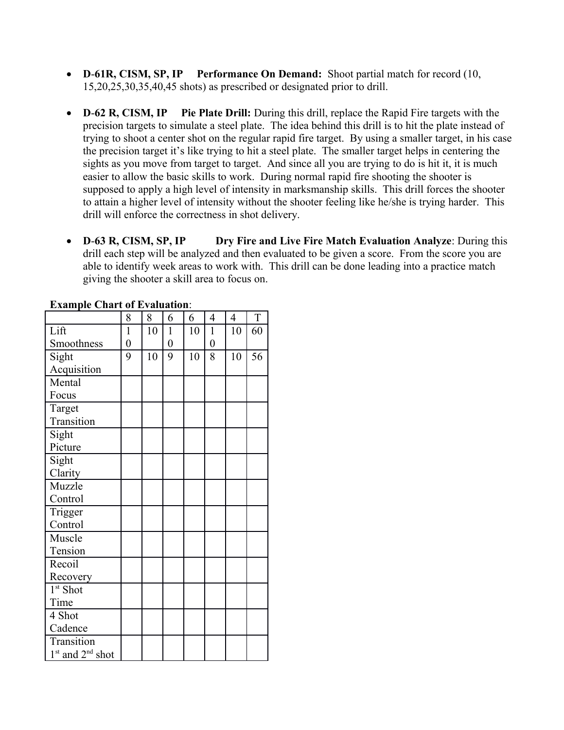- **D**-**61R, CISM, SP, IP Performance On Demand:** Shoot partial match for record (10, 15,20,25,30,35,40,45 shots) as prescribed or designated prior to drill.
- **D**-**62 R, CISM, IP Pie Plate Drill:** During this drill, replace the Rapid Fire targets with the precision targets to simulate a steel plate. The idea behind this drill is to hit the plate instead of trying to shoot a center shot on the regular rapid fire target. By using a smaller target, in his case the precision target it's like trying to hit a steel plate. The smaller target helps in centering the sights as you move from target to target. And since all you are trying to do is hit it, it is much easier to allow the basic skills to work. During normal rapid fire shooting the shooter is supposed to apply a high level of intensity in marksmanship skills. This drill forces the shooter to attain a higher level of intensity without the shooter feeling like he/she is trying harder. This drill will enforce the correctness in shot delivery.
- **D**-**63 R, CISM, SP, IP Dry Fire and Live Fire Match Evaluation Analyze**: During this drill each step will be analyzed and then evaluated to be given a score. From the score you are able to identify week areas to work with. This drill can be done leading into a practice match giving the shooter a skill area to focus on.

|                      | 8              | 8  | 6                | 6  | 4              | 4  | T  |
|----------------------|----------------|----|------------------|----|----------------|----|----|
| Lift                 | $\mathbf{1}$   | 10 | $\mathbf{1}$     | 10 | $\mathbf{1}$   | 10 | 60 |
| Smoothness           | $\overline{0}$ |    | $\boldsymbol{0}$ |    | $\overline{0}$ |    |    |
| Sight                | 9              | 10 | 9                | 10 | 8              | 10 | 56 |
| Acquisition          |                |    |                  |    |                |    |    |
| Mental               |                |    |                  |    |                |    |    |
| Focus                |                |    |                  |    |                |    |    |
| Target               |                |    |                  |    |                |    |    |
| Transition           |                |    |                  |    |                |    |    |
| Sight                |                |    |                  |    |                |    |    |
| Picture              |                |    |                  |    |                |    |    |
| Sight                |                |    |                  |    |                |    |    |
| Clarity              |                |    |                  |    |                |    |    |
| Muzzle               |                |    |                  |    |                |    |    |
| Control              |                |    |                  |    |                |    |    |
| Trigger              |                |    |                  |    |                |    |    |
| Control              |                |    |                  |    |                |    |    |
| Muscle               |                |    |                  |    |                |    |    |
| Tension              |                |    |                  |    |                |    |    |
| Recoil               |                |    |                  |    |                |    |    |
| Recovery             |                |    |                  |    |                |    |    |
| 1 <sup>st</sup> Shot |                |    |                  |    |                |    |    |
| Time                 |                |    |                  |    |                |    |    |
| 4 Shot               |                |    |                  |    |                |    |    |
| Cadence              |                |    |                  |    |                |    |    |
| <b>Transition</b>    |                |    |                  |    |                |    |    |
| $1st$ and $2nd$ shot |                |    |                  |    |                |    |    |

**Example Chart of Evaluation**: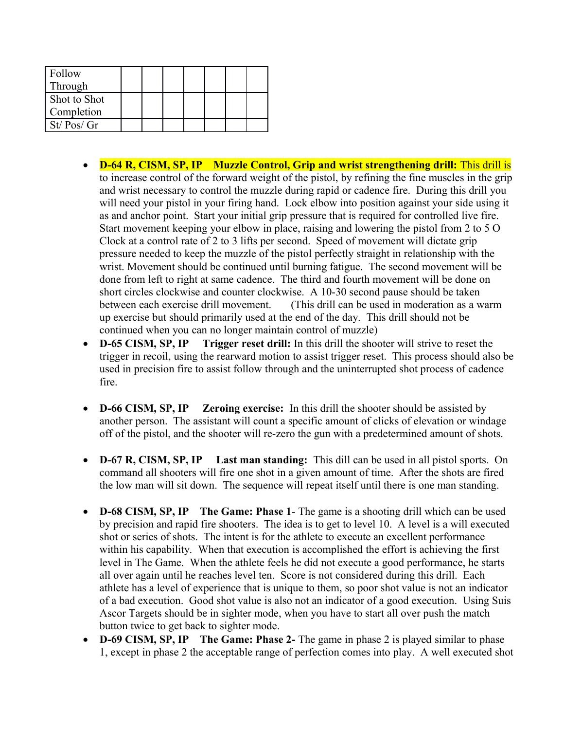| Follow<br>Through |  |  |  |  |
|-------------------|--|--|--|--|
| Shot to Shot      |  |  |  |  |
| Completion        |  |  |  |  |
| St/ Pos/Gr        |  |  |  |  |

- **D-64 R, CISM, SP, IP Muzzle Control, Grip and wrist strengthening drill:** This drill is to increase control of the forward weight of the pistol, by refining the fine muscles in the grip and wrist necessary to control the muzzle during rapid or cadence fire. During this drill you will need your pistol in your firing hand. Lock elbow into position against your side using it as and anchor point. Start your initial grip pressure that is required for controlled live fire. Start movement keeping your elbow in place, raising and lowering the pistol from 2 to 5 O Clock at a control rate of 2 to 3 lifts per second. Speed of movement will dictate grip pressure needed to keep the muzzle of the pistol perfectly straight in relationship with the wrist. Movement should be continued until burning fatigue. The second movement will be done from left to right at same cadence. The third and fourth movement will be done on short circles clockwise and counter clockwise. A 10-30 second pause should be taken between each exercise drill movement. (This drill can be used in moderation as a warm up exercise but should primarily used at the end of the day. This drill should not be continued when you can no longer maintain control of muzzle)
- **D-65 CISM, SP, IP** Trigger reset drill: In this drill the shooter will strive to reset the trigger in recoil, using the rearward motion to assist trigger reset. This process should also be used in precision fire to assist follow through and the uninterrupted shot process of cadence fire.
- **D-66 CISM, SP, IP Zeroing exercise:** In this drill the shooter should be assisted by another person. The assistant will count a specific amount of clicks of elevation or windage off of the pistol, and the shooter will re-zero the gun with a predetermined amount of shots.
- **D-67 R, CISM, SP, IP Last man standing:** This dill can be used in all pistol sports. On command all shooters will fire one shot in a given amount of time. After the shots are fired the low man will sit down. The sequence will repeat itself until there is one man standing.
- **D-68 CISM, SP, IP The Game: Phase 1** The game is a shooting drill which can be used by precision and rapid fire shooters. The idea is to get to level 10. A level is a will executed shot or series of shots. The intent is for the athlete to execute an excellent performance within his capability. When that execution is accomplished the effort is achieving the first level in The Game. When the athlete feels he did not execute a good performance, he starts all over again until he reaches level ten. Score is not considered during this drill. Each athlete has a level of experience that is unique to them, so poor shot value is not an indicator of a bad execution. Good shot value is also not an indicator of a good execution. Using Suis Ascor Targets should be in sighter mode, when you have to start all over push the match button twice to get back to sighter mode.
- **D-69 CISM, SP, IP The Game: Phase 2-** The game in phase 2 is played similar to phase 1, except in phase 2 the acceptable range of perfection comes into play. A well executed shot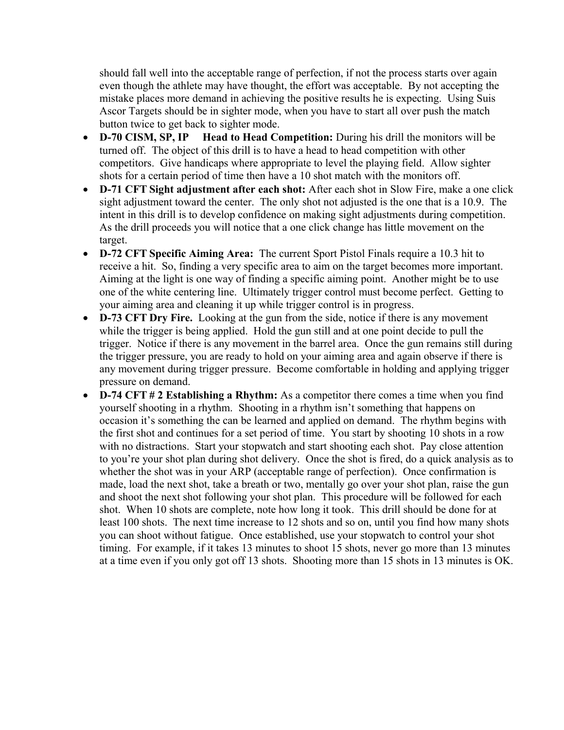should fall well into the acceptable range of perfection, if not the process starts over again even though the athlete may have thought, the effort was acceptable. By not accepting the mistake places more demand in achieving the positive results he is expecting. Using Suis Ascor Targets should be in sighter mode, when you have to start all over push the match button twice to get back to sighter mode.

- **D-70 CISM, SP, IP Head to Head Competition:** During his drill the monitors will be turned off. The object of this drill is to have a head to head competition with other competitors. Give handicaps where appropriate to level the playing field. Allow sighter shots for a certain period of time then have a 10 shot match with the monitors off.
- **D-71 CFT Sight adjustment after each shot:** After each shot in Slow Fire, make a one click sight adjustment toward the center. The only shot not adjusted is the one that is a 10.9. The intent in this drill is to develop confidence on making sight adjustments during competition. As the drill proceeds you will notice that a one click change has little movement on the target.
- **D-72 CFT Specific Aiming Area:** The current Sport Pistol Finals require a 10.3 hit to receive a hit. So, finding a very specific area to aim on the target becomes more important. Aiming at the light is one way of finding a specific aiming point. Another might be to use one of the white centering line. Ultimately trigger control must become perfect. Getting to your aiming area and cleaning it up while trigger control is in progress.
- **D-73 CFT Dry Fire.** Looking at the gun from the side, notice if there is any movement while the trigger is being applied. Hold the gun still and at one point decide to pull the trigger. Notice if there is any movement in the barrel area. Once the gun remains still during the trigger pressure, you are ready to hold on your aiming area and again observe if there is any movement during trigger pressure. Become comfortable in holding and applying trigger pressure on demand.
- **D-74 CFT # 2 Establishing a Rhythm:** As a competitor there comes a time when you find yourself shooting in a rhythm. Shooting in a rhythm isn't something that happens on occasion it's something the can be learned and applied on demand. The rhythm begins with the first shot and continues for a set period of time. You start by shooting 10 shots in a row with no distractions. Start your stopwatch and start shooting each shot. Pay close attention to you're your shot plan during shot delivery. Once the shot is fired, do a quick analysis as to whether the shot was in your ARP (acceptable range of perfection). Once confirmation is made, load the next shot, take a breath or two, mentally go over your shot plan, raise the gun and shoot the next shot following your shot plan. This procedure will be followed for each shot. When 10 shots are complete, note how long it took. This drill should be done for at least 100 shots. The next time increase to 12 shots and so on, until you find how many shots you can shoot without fatigue. Once established, use your stopwatch to control your shot timing. For example, if it takes 13 minutes to shoot 15 shots, never go more than 13 minutes at a time even if you only got off 13 shots. Shooting more than 15 shots in 13 minutes is OK.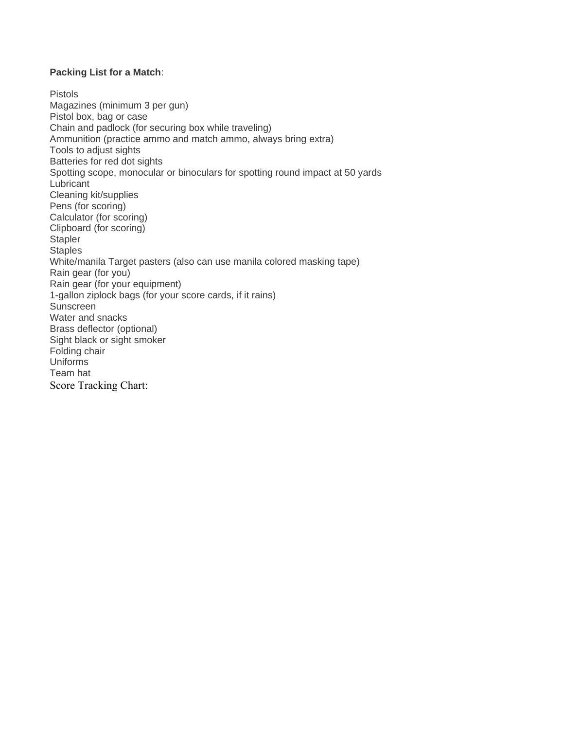#### **Packing List for a Match**:

Pistols Magazines (minimum 3 per gun) Pistol box, bag or case Chain and padlock (for securing box while traveling) Ammunition (practice ammo and match ammo, always bring extra) Tools to adjust sights Batteries for red dot sights Spotting scope, monocular or binoculars for spotting round impact at 50 yards **Lubricant** Cleaning kit/supplies Pens (for scoring) Calculator (for scoring) Clipboard (for scoring) **Stapler Staples** White/manila Target pasters (also can use manila colored masking tape) Rain gear (for you) Rain gear (for your equipment) 1-gallon ziplock bags (for your score cards, if it rains) Sunscreen Water and snacks Brass deflector (optional) Sight black or sight smoker Folding chair Uniforms Team hat Score Tracking Chart: